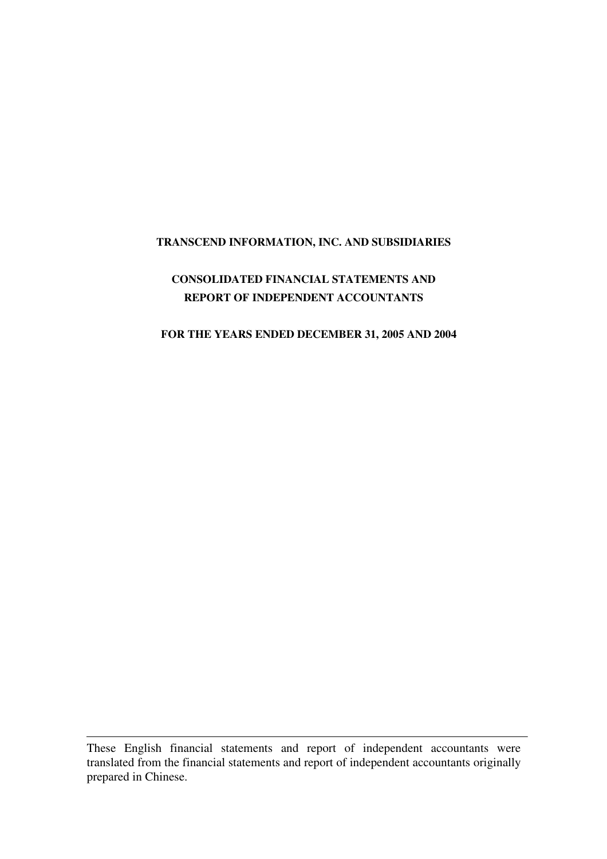# **TRANSCEND INFORMATION, INC. AND SUBSIDIARIES**

# **CONSOLIDATED FINANCIAL STATEMENTS AND REPORT OF INDEPENDENT ACCOUNTANTS**

### **FOR THE YEARS ENDED DECEMBER 31, 2005 AND 2004**

These English financial statements and report of independent accountants were translated from the financial statements and report of independent accountants originally prepared in Chinese.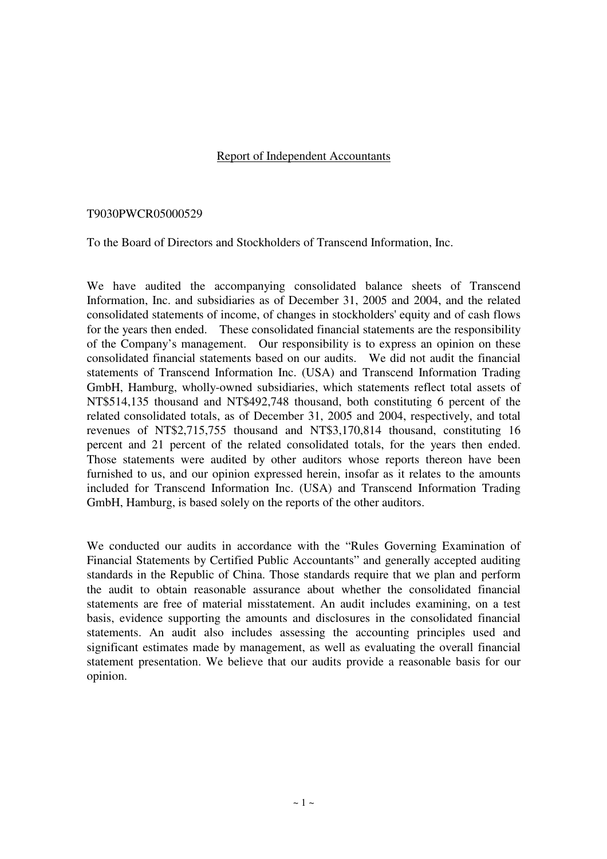## Report of Independent Accountants

### T9030PWCR05000529

To the Board of Directors and Stockholders of Transcend Information, Inc.

We have audited the accompanying consolidated balance sheets of Transcend Information, Inc. and subsidiaries as of December 31, 2005 and 2004, and the related consolidated statements of income, of changes in stockholders' equity and of cash flows for the years then ended. These consolidated financial statements are the responsibility of the Company's management. Our responsibility is to express an opinion on these consolidated financial statements based on our audits. We did not audit the financial statements of Transcend Information Inc. (USA) and Transcend Information Trading GmbH, Hamburg, wholly-owned subsidiaries, which statements reflect total assets of NT\$514,135 thousand and NT\$492,748 thousand, both constituting 6 percent of the related consolidated totals, as of December 31, 2005 and 2004, respectively, and total revenues of NT\$2,715,755 thousand and NT\$3,170,814 thousand, constituting 16 percent and 21 percent of the related consolidated totals, for the years then ended. Those statements were audited by other auditors whose reports thereon have been furnished to us, and our opinion expressed herein, insofar as it relates to the amounts included for Transcend Information Inc. (USA) and Transcend Information Trading GmbH, Hamburg, is based solely on the reports of the other auditors.

We conducted our audits in accordance with the "Rules Governing Examination of Financial Statements by Certified Public Accountants" and generally accepted auditing standards in the Republic of China. Those standards require that we plan and perform the audit to obtain reasonable assurance about whether the consolidated financial statements are free of material misstatement. An audit includes examining, on a test basis, evidence supporting the amounts and disclosures in the consolidated financial statements. An audit also includes assessing the accounting principles used and significant estimates made by management, as well as evaluating the overall financial statement presentation. We believe that our audits provide a reasonable basis for our opinion.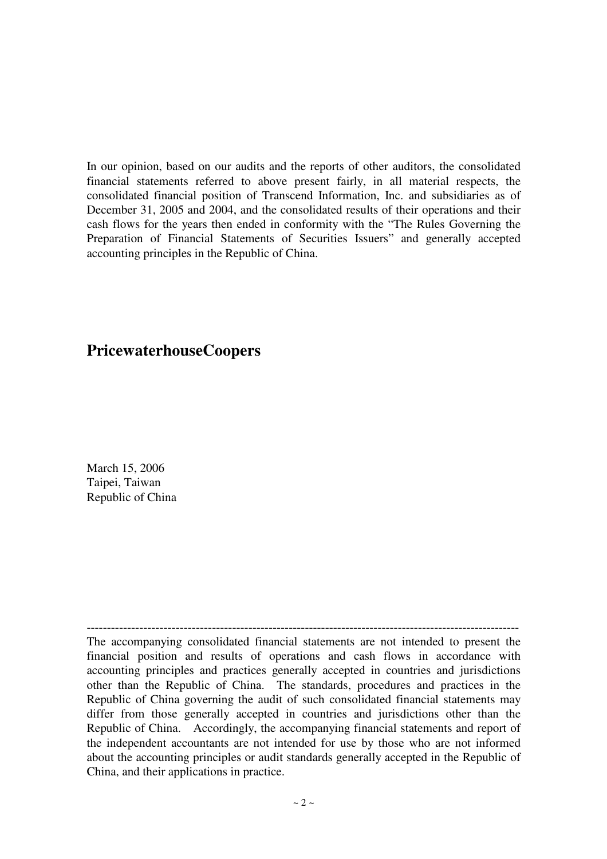In our opinion, based on our audits and the reports of other auditors, the consolidated financial statements referred to above present fairly, in all material respects, the consolidated financial position of Transcend Information, Inc. and subsidiaries as of December 31, 2005 and 2004, and the consolidated results of their operations and their cash flows for the years then ended in conformity with the "The Rules Governing the Preparation of Financial Statements of Securities Issuers" and generally accepted accounting principles in the Republic of China.

# **PricewaterhouseCoopers**

March 15, 2006 Taipei, Taiwan Republic of China

----------------------------------------------------------------------------------------------------------- The accompanying consolidated financial statements are not intended to present the financial position and results of operations and cash flows in accordance with accounting principles and practices generally accepted in countries and jurisdictions other than the Republic of China. The standards, procedures and practices in the Republic of China governing the audit of such consolidated financial statements may differ from those generally accepted in countries and jurisdictions other than the Republic of China. Accordingly, the accompanying financial statements and report of the independent accountants are not intended for use by those who are not informed about the accounting principles or audit standards generally accepted in the Republic of China, and their applications in practice.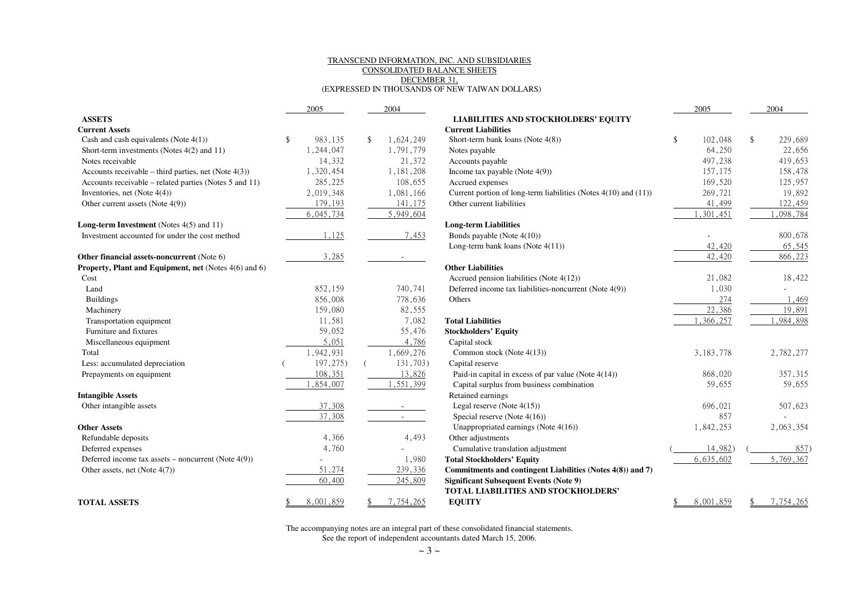#### TRANSCEND INFORMATION, INC. AND SUBSIDIARIESCONSOLIDATED BALANCE SHEETSDECEMBER 31,(EXPRESSED IN THOUSANDS OF NEW TAIWAN DOLLARS)

|                                                              | 2005      |               | 2004      |                                                                 | 2005          | 2004          |
|--------------------------------------------------------------|-----------|---------------|-----------|-----------------------------------------------------------------|---------------|---------------|
| <b>ASSETS</b>                                                |           |               |           | <b>LIABILITIES AND STOCKHOLDERS' EQUITY</b>                     |               |               |
| <b>Current Assets</b>                                        |           |               |           | <b>Current Liabilities</b>                                      |               |               |
| Cash and cash equivalents (Note $4(1)$ )                     | 983,135   | <sup>\$</sup> | 1,624,249 | Short-term bank loans (Note $4(8)$ )                            | \$<br>102,048 | \$<br>229,689 |
| Short-term investments (Notes 4(2) and 11)                   | 1,244,047 |               | 1,791,779 | Notes payable                                                   | 64,250        | 22,656        |
| Notes receivable                                             | 14,332    |               | 21,372    | Accounts payable                                                | 497,238       | 419,653       |
| Accounts receivable – third parties, net (Note $4(3)$ )      | 1,320,454 |               | 1,181,208 | Income tax payable (Note $4(9)$ )                               | 157,175       | 158,478       |
| Accounts receivable – related parties (Notes 5 and 11)       | 285,225   |               | 108,655   | Accrued expenses                                                | 169,520       | 125,957       |
| Inventories, net (Note $4(4)$ )                              | 2,019,348 |               | 1,081,166 | Current portion of long-term liabilities (Notes 4(10) and (11)) | 269,721       | 19,892        |
| Other current assets (Note 4(9))                             | 179,193   |               | 141,175   | Other current liabilities                                       | 41,499        | 122,459       |
|                                                              | 6,045,734 |               | 5,949,604 |                                                                 | , 301, 451    | 1,098,784     |
| Long-term Investment (Notes 4(5) and 11)                     |           |               |           | <b>Long-term Liabilities</b>                                    |               |               |
| Investment accounted for under the cost method               | 1,125     |               | 7,453     | Bonds payable (Note 4(10))                                      |               | 800,678       |
|                                                              |           |               |           | Long-term bank loans (Note 4(11))                               | 42,420        | 65,545        |
| Other financial assets-noncurrent (Note 6)                   | 3,285     |               |           |                                                                 | 42,420        | 866,223       |
| <b>Property, Plant and Equipment, net</b> (Notes 4(6) and 6) |           |               |           | <b>Other Liabilities</b>                                        |               |               |
| Cost                                                         |           |               |           | Accrued pension liabilities (Note 4(12))                        | 21,082        | 18,422        |
| Land                                                         | 852,159   |               | 740,741   | Deferred income tax liabilities-noncurrent (Note 4(9))          | 1,030         |               |
| <b>Buildings</b>                                             | 856,008   |               | 778,636   | Others                                                          | 274           | 1,469         |
| Machinery                                                    | 159,080   |               | 82,555    |                                                                 | 22,386        | 19,891        |
| Transportation equipment                                     | 11,581    |               | 7,082     | <b>Total Liabilities</b>                                        | , 366, 257    | 1,984,898     |
| Furniture and fixtures                                       | 59,052    |               | 55,476    | <b>Stockholders' Equity</b>                                     |               |               |
| Miscellaneous equipment                                      | 5,051     |               | 4,786     | Capital stock                                                   |               |               |
| Total                                                        | 1,942,931 |               | 1,669,276 | Common stock (Note $4(13)$ )                                    | 3, 183, 778   | 2,782,277     |
| Less: accumulated depreciation                               | 197,275)  |               | 131,703)  | Capital reserve                                                 |               |               |
| Prepayments on equipment                                     | 108,351   |               | 13,826    | Paid-in capital in excess of par value (Note $4(14)$ )          | 868,020       | 357,315       |
|                                                              | 1,854,007 |               | ,551,399  | Capital surplus from business combination                       | 59,655        | 59,655        |
| <b>Intangible Assets</b>                                     |           |               |           | Retained earnings                                               |               |               |
| Other intangible assets                                      | 37,308    |               |           | Legal reserve (Note $4(15)$ )                                   | 696,021       | 507,623       |
|                                                              | 37,308    |               |           | Special reserve (Note 4(16))                                    | 857           |               |
| <b>Other Assets</b>                                          |           |               |           | Unappropriated earnings (Note 4(16))                            | 1,842,253     | 2,063,354     |
| Refundable deposits                                          | 4,366     |               | 4,493     | Other adjustments                                               |               |               |
| Deferred expenses                                            | 4,760     |               |           | Cumulative translation adjustment                               | 14,982)       | 857)          |
| Deferred income tax assets – noncurrent (Note $4(9)$ )       |           |               | 1,980     | <b>Total Stockholders' Equity</b>                               | 6,635,602     | 5,769,367     |
| Other assets, net (Note 4(7))                                | 51,274    |               | 239,336   | Commitments and contingent Liabilities (Notes 4(8)) and 7)      |               |               |
|                                                              | 60,400    |               | 245,809   | <b>Significant Subsequent Events (Note 9)</b>                   |               |               |
|                                                              |           |               |           | <b>TOTAL LIABILITIES AND STOCKHOLDERS'</b>                      |               |               |
| <b>TOTAL ASSETS</b>                                          | 8,001,859 |               | 7,754,265 | <b>EQUITY</b>                                                   | 8,001,859     | 7,754,265     |

The accompanying notes are an integral part of these consolidated financial statements. See the report of independent accountants dated March 15, 2006.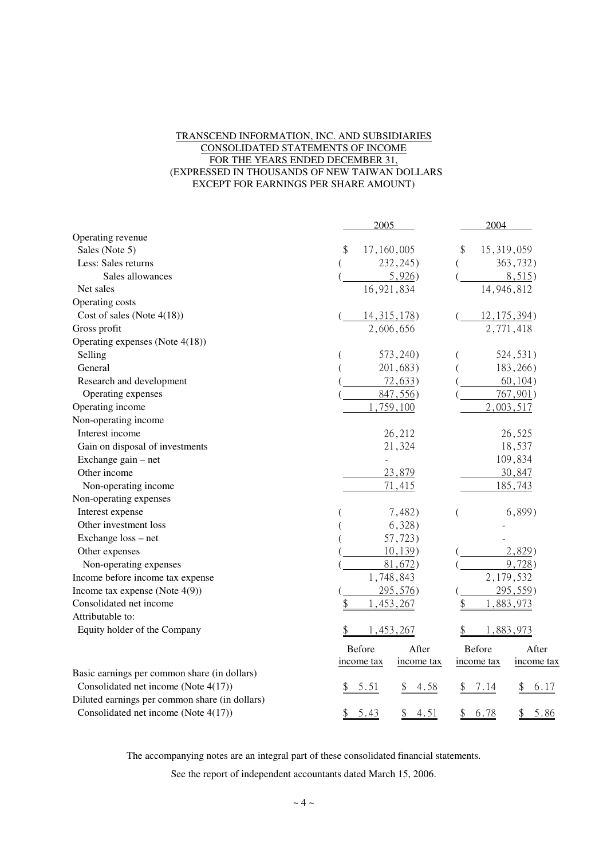### TRANSCEND INFORMATION, INC. AND SUBSIDIARIES CONSOLIDATED STATEMENTS OF INCOME FOR THE YEARS ENDED DECEMBER 31, (EXPRESSED IN THOUSANDS OF NEW TAIWAN DOLLARS EXCEPT FOR EARNINGS PER SHARE AMOUNT)

|                                                | 2005                     | 2004                     |
|------------------------------------------------|--------------------------|--------------------------|
| Operating revenue                              |                          |                          |
| Sales (Note 5)                                 | \$<br>17,160,005         | \$<br>15,319,059         |
| Less: Sales returns                            | 232, 245)                | 363,732)                 |
| Sales allowances                               | 5,926)                   | 8,515                    |
| Net sales                                      | 16,921,834               | 14,946,812               |
| Operating costs                                |                          |                          |
| Cost of sales (Note $4(18)$ )                  | <u>14, 315, 178</u> )    | $12, 175, 394$ )         |
| Gross profit                                   | 2,606,656                | 2,771,418                |
| Operating expenses (Note 4(18))                |                          |                          |
| Selling                                        | 573, 240)                | 524, 531)                |
| General                                        | 201,683)                 | 183,266)                 |
| Research and development                       | 72,633)                  | 60, 104)                 |
| Operating expenses                             | 847,556)                 | 767,901)                 |
| Operating income                               | 759,100                  | 2,003,517                |
| Non-operating income                           |                          |                          |
| Interest income                                | 26,212                   | 26,525                   |
| Gain on disposal of investments                | 21,324                   | 18,537                   |
| Exchange gain - net                            | ÷,                       | 109,834                  |
| Other income                                   | 23,879                   | 30,847                   |
| Non-operating income                           | 71,415                   | 185,743                  |
| Non-operating expenses                         |                          |                          |
| Interest expense                               | 7,482)                   | $6,899$ )                |
| Other investment loss                          | 6,328)                   |                          |
| Exchange loss - net                            | 57,723)                  |                          |
| Other expenses                                 | 10, 139)                 | 2,829)                   |
| Non-operating expenses                         | 81,672)                  | 9,728                    |
| Income before income tax expense               | 1,748,843                | 2,179,532                |
| Income tax expense (Note $4(9)$ )              | 295,576)                 | 295,559)                 |
| Consolidated net income                        | 1,453,267<br>\$          | \$<br>,883,973<br>1      |
| Attributable to:                               |                          |                          |
| Equity holder of the Company                   | 1,453,267                | 1,883,973                |
|                                                | Before<br>After          | Before<br>After          |
|                                                | income tax<br>income tax | income tax<br>income tax |
| Basic earnings per common share (in dollars)   |                          |                          |
| Consolidated net income (Note 4(17))           | 5.51<br><u>4.58</u>      | 7.14<br>6.17             |
| Diluted earnings per common share (in dollars) |                          |                          |
| Consolidated net income (Note 4(17))           | 5.43<br>4.51<br>\$<br>\$ | 6.78<br>\$<br>5.86<br>\$ |

The accompanying notes are an integral part of these consolidated financial statements.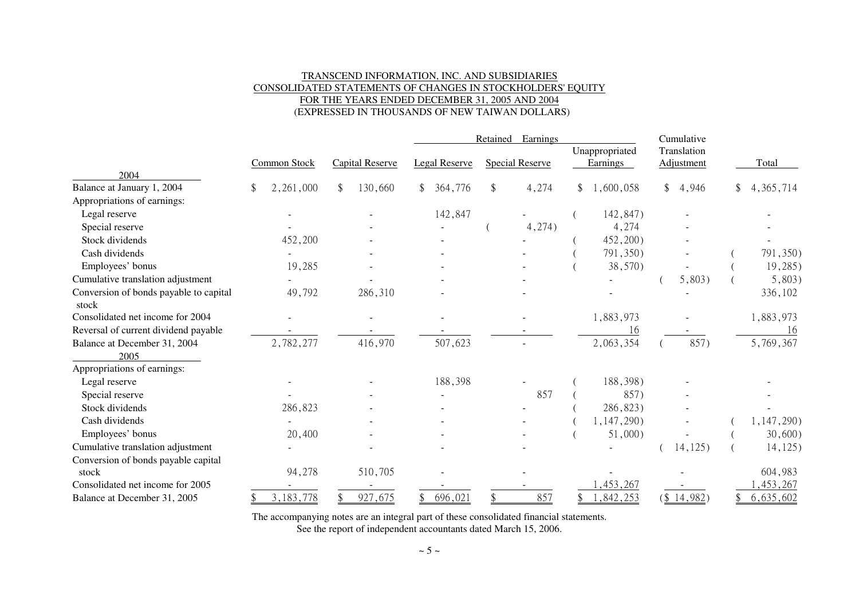### TRANSCEND INFORMATION, INC. AND SUBSIDIARIES CONSOLIDATED STATEMENTS OF CHANGES IN STOCKHOLDERS' EQUITYFOR THE YEARS ENDED DECEMBER 31, 2005 AND 2004(EXPRESSED IN THOUSANDS OF NEW TAIWAN DOLLARS)

|                                        |                     |                        | Retained<br>Earnings |  |                        |    |                            | Cumulative |                           |  |             |
|----------------------------------------|---------------------|------------------------|----------------------|--|------------------------|----|----------------------------|------------|---------------------------|--|-------------|
|                                        | <b>Common Stock</b> | <b>Capital Reserve</b> | Legal Reserve        |  | <b>Special Reserve</b> |    | Unappropriated<br>Earnings |            | Translation<br>Adjustment |  | Total       |
| 2004                                   |                     |                        |                      |  |                        |    |                            |            |                           |  |             |
| Balance at January 1, 2004             | 2,261,000<br>\$     | 130,660<br>\$          | 364,776<br>\$        |  | 4,274                  | \$ | 1,600,058                  |            | \$4,946                   |  | 4, 365, 714 |
| Appropriations of earnings:            |                     |                        |                      |  |                        |    |                            |            |                           |  |             |
| Legal reserve                          |                     |                        | 142,847              |  |                        |    | 142,847)                   |            |                           |  |             |
| Special reserve                        |                     |                        |                      |  | 4,274)                 |    | 4,274                      |            |                           |  |             |
| Stock dividends                        | 452,200             |                        |                      |  |                        |    | 452,200)                   |            |                           |  |             |
| Cash dividends                         |                     |                        |                      |  |                        |    | 791,350)                   |            |                           |  | 791,350)    |
| Employees' bonus                       | 19,285              |                        |                      |  |                        |    | 38,570)                    |            |                           |  | 19,285)     |
| Cumulative translation adjustment      |                     |                        |                      |  |                        |    |                            |            | 5,803)                    |  | $5,803$ )   |
| Conversion of bonds payable to capital | 49,792              | 286,310                |                      |  |                        |    |                            |            |                           |  | 336,102     |
| stock                                  |                     |                        |                      |  |                        |    |                            |            |                           |  |             |
| Consolidated net income for 2004       |                     |                        |                      |  |                        |    | 1,883,973                  |            |                           |  | 1,883,973   |
| Reversal of current dividend payable   |                     |                        |                      |  |                        |    | 16                         |            |                           |  | 16          |
| Balance at December 31, 2004           | 2,782,277           | 416,970                | 507,623              |  |                        |    | 2,063,354                  |            | 857)                      |  | 5,769,367   |
| 2005                                   |                     |                        |                      |  |                        |    |                            |            |                           |  |             |
| Appropriations of earnings:            |                     |                        |                      |  |                        |    |                            |            |                           |  |             |
| Legal reserve                          |                     |                        | 188,398              |  |                        |    | 188,398)                   |            |                           |  |             |
| Special reserve                        |                     |                        |                      |  | 857                    |    | 857)                       |            |                           |  |             |
| Stock dividends                        | 286,823             |                        |                      |  |                        |    | 286,823)                   |            |                           |  |             |
| Cash dividends                         |                     |                        |                      |  |                        |    | 1,147,290)                 |            |                           |  | 1,147,290)  |
| Employees' bonus                       | 20,400              |                        |                      |  |                        |    | $51,000$ )                 |            |                           |  | $30,600$ )  |
| Cumulative translation adjustment      |                     |                        |                      |  |                        |    |                            |            | 14,125)                   |  | 14, 125)    |
| Conversion of bonds payable capital    |                     |                        |                      |  |                        |    |                            |            |                           |  |             |
| stock                                  | 94,278              | 510,705                |                      |  |                        |    |                            |            |                           |  | 604,983     |
| Consolidated net income for 2005       |                     |                        |                      |  |                        |    | , 453, 267                 |            |                           |  | , 453, 267  |
| Balance at December 31, 2005           | 3, 183, 778         | 927,675                | 696,021<br>\$.       |  | 857                    |    | ,842,253                   |            | $(\frac{$14,982}{)$       |  | 6,635,602   |

The accompanying notes are an integral part of these consolidated financial statements.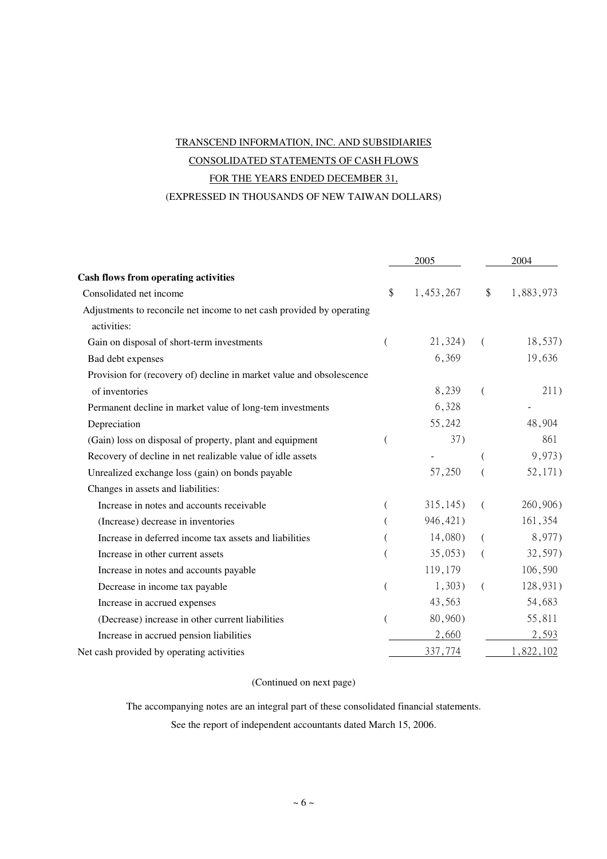# TRANSCEND INFORMATION, INC. AND SUBSIDIARIES CONSOLIDATED STATEMENTS OF CASH FLOWS FOR THE YEARS ENDED DECEMBER 31, (EXPRESSED IN THOUSANDS OF NEW TAIWAN DOLLARS)

|                                                                       |          | 2005      | 2004     |           |  |
|-----------------------------------------------------------------------|----------|-----------|----------|-----------|--|
| <b>Cash flows from operating activities</b>                           |          |           |          |           |  |
| Consolidated net income                                               | \$       | 1,453,267 | \$       | 1,883,973 |  |
| Adjustments to reconcile net income to net cash provided by operating |          |           |          |           |  |
| activities:                                                           |          |           |          |           |  |
| Gain on disposal of short-term investments                            | $\left($ | 21,324)   | $\left($ | 18,537)   |  |
| Bad debt expenses                                                     |          | 6,369     |          | 19,636    |  |
| Provision for (recovery of) decline in market value and obsolescence  |          |           |          |           |  |
| of inventories                                                        |          | 8,239     | $\left($ | 211)      |  |
| Permanent decline in market value of long-tem investments             |          | 6,328     |          |           |  |
| Depreciation                                                          |          | 55,242    |          | 48,904    |  |
| (Gain) loss on disposal of property, plant and equipment              |          | 37)       |          | 861       |  |
| Recovery of decline in net realizable value of idle assets            |          |           |          | 9,973)    |  |
| Unrealized exchange loss (gain) on bonds payable                      |          | 57,250    |          | 52,171)   |  |
| Changes in assets and liabilities:                                    |          |           |          |           |  |
| Increase in notes and accounts receivable                             |          | 315, 145) | €        | 260,906)  |  |
| (Increase) decrease in inventories                                    |          | 946, 421) |          | 161,354   |  |
| Increase in deferred income tax assets and liabilities                |          | 14,080)   | $\left($ | 8,977)    |  |
| Increase in other current assets                                      |          | 35,053)   | (        | 32,597)   |  |
| Increase in notes and accounts payable                                |          | 119,179   |          | 106,590   |  |
| Decrease in income tax payable                                        |          | 1,303)    | €        | 128,931)  |  |
| Increase in accrued expenses                                          |          | 43,563    |          | 54,683    |  |
| (Decrease) increase in other current liabilities                      | (        | 80,960)   |          | 55,811    |  |
| Increase in accrued pension liabilities                               |          | 2,660     |          | 2,593     |  |
| Net cash provided by operating activities                             |          | 337,774   |          | 1,822,102 |  |

### (Continued on next page)

The accompanying notes are an integral part of these consolidated financial statements.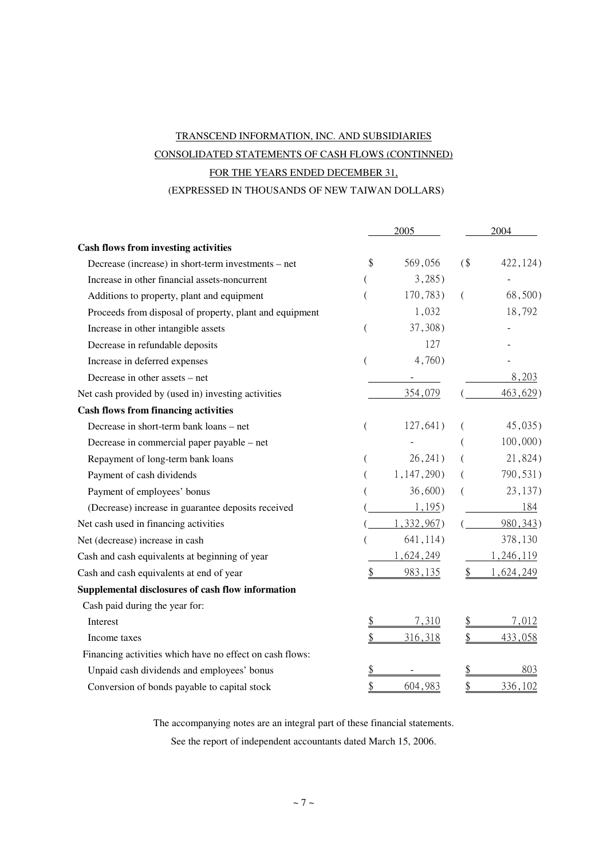# TRANSCEND INFORMATION, INC. AND SUBSIDIARIES CONSOLIDATED STATEMENTS OF CASH FLOWS (CONTINNED) FOR THE YEARS ENDED DECEMBER 31,

### (EXPRESSED IN THOUSANDS OF NEW TAIWAN DOLLARS)

|                                                          |                | 2005       |    | 2004        |
|----------------------------------------------------------|----------------|------------|----|-------------|
| <b>Cash flows from investing activities</b>              |                |            |    |             |
| Decrease (increase) in short-term investments – net      | \$             | 569,056    | (  | 422, 124)   |
| Increase in other financial assets-noncurrent            |                | $3,285$ )  |    |             |
| Additions to property, plant and equipment               | (              | 170,783)   | €  | 68,500)     |
| Proceeds from disposal of property, plant and equipment  |                | 1,032      |    | 18,792      |
| Increase in other intangible assets                      | $\left($       | 37,308)    |    |             |
| Decrease in refundable deposits                          |                | 127        |    |             |
| Increase in deferred expenses                            | (              | 4,760)     |    |             |
| Decrease in other assets – net                           |                |            |    | 8,203       |
| Net cash provided by (used in) investing activities      |                | 354,079    |    | 463,629)    |
| <b>Cash flows from financing activities</b>              |                |            |    |             |
| Decrease in short-term bank loans – net                  | $\overline{(}$ | 127,641)   |    | 45,035)     |
| Decrease in commercial paper payable – net               |                |            |    | $100,000$ ) |
| Repayment of long-term bank loans                        | $\overline{ }$ | 26, 241)   |    | 21,824)     |
| Payment of cash dividends                                |                | 1,147,290) |    | 790,531)    |
| Payment of employees' bonus                              |                | $36,600$ ) |    | 23,137)     |
| (Decrease) increase in guarantee deposits received       |                | 1,195      |    | 184         |
| Net cash used in financing activities                    |                | 1,332,967) |    | 980, 343)   |
| Net (decrease) increase in cash                          |                | 641, 114)  |    | 378,130     |
| Cash and cash equivalents at beginning of year           |                | 1,624,249  |    | 1,246,119   |
| Cash and cash equivalents at end of year                 | \$             | 983,135    | \$ | 1,624,249   |
| Supplemental disclosures of cash flow information        |                |            |    |             |
| Cash paid during the year for:                           |                |            |    |             |
| Interest                                                 | \$             | 7,310      |    | 7,012       |
| Income taxes                                             | \$             | 316,318    | \$ | 433,058     |
| Financing activities which have no effect on cash flows: |                |            |    |             |
| Unpaid cash dividends and employees' bonus               | \$             |            |    | 803         |
| Conversion of bonds payable to capital stock             | \$             | 604,983    | \$ | 336,102     |

The accompanying notes are an integral part of these financial statements.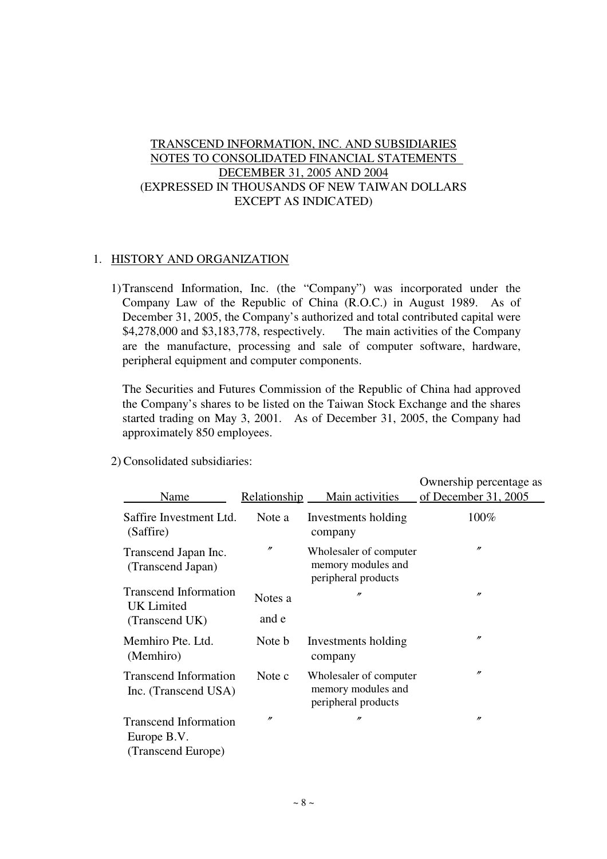# TRANSCEND INFORMATION, INC. AND SUBSIDIARIES NOTES TO CONSOLIDATED FINANCIAL STATEMENTS DECEMBER 31, 2005 AND 2004 (EXPRESSED IN THOUSANDS OF NEW TAIWAN DOLLARS EXCEPT AS INDICATED)

# 1. HISTORY AND ORGANIZATION

1)Transcend Information, Inc. (the "Company") was incorporated under the Company Law of the Republic of China (R.O.C.) in August 1989. As of December 31, 2005, the Company's authorized and total contributed capital were \$4,278,000 and \$3,183,778, respectively. The main activities of the Company are the manufacture, processing and sale of computer software, hardware, peripheral equipment and computer components.

The Securities and Futures Commission of the Republic of China had approved the Company's shares to be listed on the Taiwan Stock Exchange and the shares started trading on May 3, 2001. As of December 31, 2005, the Company had approximately 850 employees.

|                                                                   |                   |                                                                     | Ownership percentage as |
|-------------------------------------------------------------------|-------------------|---------------------------------------------------------------------|-------------------------|
| Name                                                              | Relationship      | Main activities                                                     | of December 31, 2005    |
| Saffire Investment Ltd.<br>(Saffire)                              | Note a            | Investments holding<br>company                                      | 100%                    |
| Transcend Japan Inc.<br>(Transcend Japan)                         | $^{\prime\prime}$ | Wholesaler of computer<br>memory modules and<br>peripheral products | $^{\prime\prime}$       |
| <b>Transcend Information</b><br><b>UK</b> Limited                 | Notes a<br>and e  | n                                                                   | $\prime\prime$          |
| (Transcend UK)                                                    |                   |                                                                     |                         |
| Memhiro Pte. Ltd.<br>(Memhiro)                                    | Note b            | Investments holding<br>company                                      | $^{\prime\prime}$       |
| <b>Transcend Information</b><br>Inc. (Transcend USA)              | Note c            | Wholesaler of computer<br>memory modules and<br>peripheral products | $^{\prime\prime}$       |
| <b>Transcend Information</b><br>Europe B.V.<br>(Transcend Europe) | n                 | n                                                                   | $^{\prime\prime}$       |

2) Consolidated subsidiaries: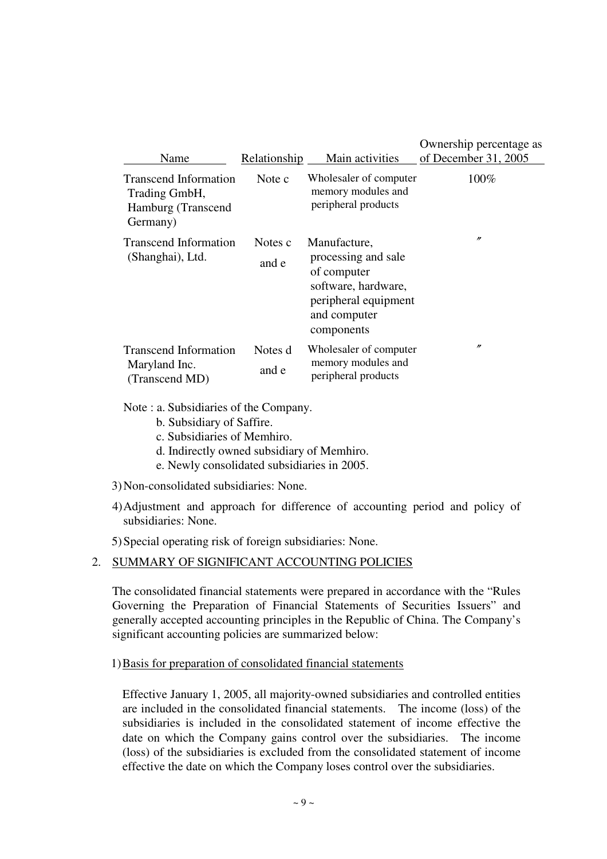| Name                                                                            | Relationship     | Main activities                                                                                                                 | Ownership percentage as<br>of December 31, 2005 |
|---------------------------------------------------------------------------------|------------------|---------------------------------------------------------------------------------------------------------------------------------|-------------------------------------------------|
| <b>Transcend Information</b><br>Trading GmbH,<br>Hamburg (Transcend<br>Germany) | Note c           | Wholesaler of computer<br>memory modules and<br>peripheral products                                                             | 100%                                            |
| <b>Transcend Information</b><br>(Shanghai), Ltd.                                | Notes c<br>and e | Manufacture,<br>processing and sale<br>of computer<br>software, hardware,<br>peripheral equipment<br>and computer<br>components | $^{\prime\prime}$                               |
| <b>Transcend Information</b><br>Maryland Inc.<br>(Transcend MD)                 | Notes d<br>and e | Wholesaler of computer<br>memory modules and<br>peripheral products                                                             | $^{\prime\prime}$                               |

Note : a. Subsidiaries of the Company.

- b. Subsidiary of Saffire.
- c. Subsidiaries of Memhiro.
- d. Indirectly owned subsidiary of Memhiro.
- e. Newly consolidated subsidiaries in 2005.

3) Non-consolidated subsidiaries: None.

4) Adjustment and approach for difference of accounting period and policy of subsidiaries: None.

5) Special operating risk of foreign subsidiaries: None.

# 2. SUMMARY OF SIGNIFICANT ACCOUNTING POLICIES

The consolidated financial statements were prepared in accordance with the "Rules Governing the Preparation of Financial Statements of Securities Issuers" and generally accepted accounting principles in the Republic of China. The Company's significant accounting policies are summarized below:

# 1) Basis for preparation of consolidated financial statements

Effective January 1, 2005, all majority-owned subsidiaries and controlled entities are included in the consolidated financial statements. The income (loss) of the subsidiaries is included in the consolidated statement of income effective the date on which the Company gains control over the subsidiaries. The income (loss) of the subsidiaries is excluded from the consolidated statement of income effective the date on which the Company loses control over the subsidiaries.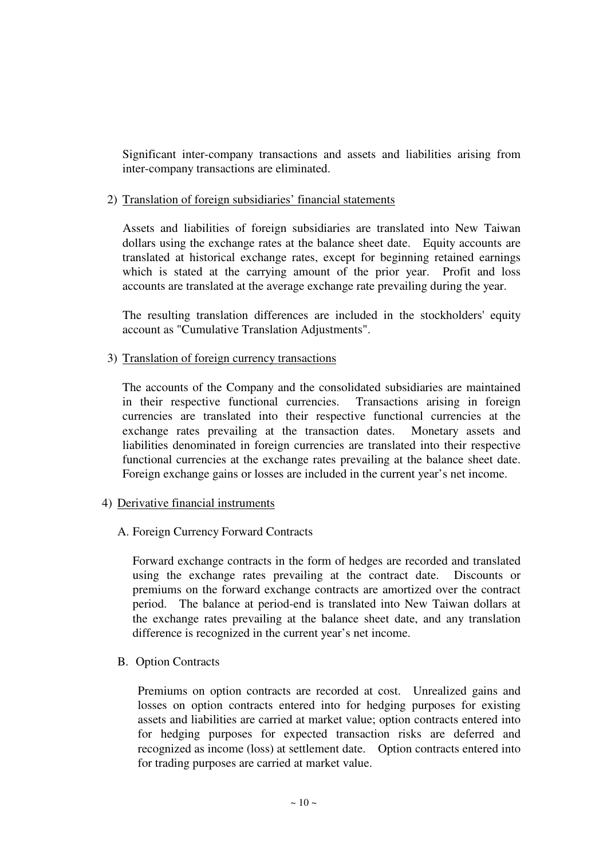Significant inter-company transactions and assets and liabilities arising from inter-company transactions are eliminated.

# 2) Translation of foreign subsidiaries' financial statements

Assets and liabilities of foreign subsidiaries are translated into New Taiwan dollars using the exchange rates at the balance sheet date. Equity accounts are translated at historical exchange rates, except for beginning retained earnings which is stated at the carrying amount of the prior year. Profit and loss accounts are translated at the average exchange rate prevailing during the year.

The resulting translation differences are included in the stockholders' equity account as "Cumulative Translation Adjustments".

### 3) Translation of foreign currency transactions

The accounts of the Company and the consolidated subsidiaries are maintained in their respective functional currencies. Transactions arising in foreign currencies are translated into their respective functional currencies at the exchange rates prevailing at the transaction dates. Monetary assets and liabilities denominated in foreign currencies are translated into their respective functional currencies at the exchange rates prevailing at the balance sheet date. Foreign exchange gains or losses are included in the current year's net income.

### 4) Derivative financial instruments

# A. Foreign Currency Forward Contracts

Forward exchange contracts in the form of hedges are recorded and translated using the exchange rates prevailing at the contract date. Discounts or premiums on the forward exchange contracts are amortized over the contract period. The balance at period-end is translated into New Taiwan dollars at the exchange rates prevailing at the balance sheet date, and any translation difference is recognized in the current year's net income.

B. Option Contracts

Premiums on option contracts are recorded at cost. Unrealized gains and losses on option contracts entered into for hedging purposes for existing assets and liabilities are carried at market value; option contracts entered into for hedging purposes for expected transaction risks are deferred and recognized as income (loss) at settlement date. Option contracts entered into for trading purposes are carried at market value.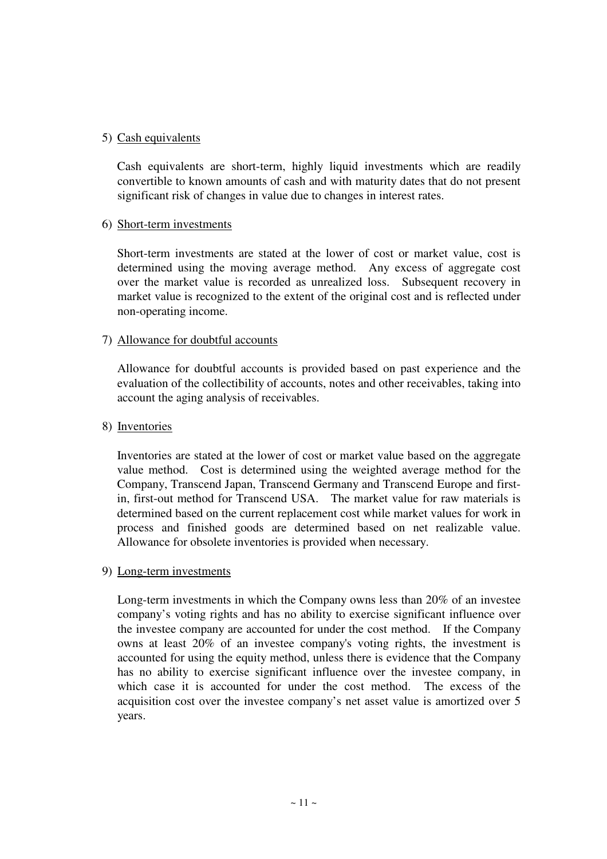# 5) Cash equivalents

Cash equivalents are short-term, highly liquid investments which are readily convertible to known amounts of cash and with maturity dates that do not present significant risk of changes in value due to changes in interest rates.

# 6) Short-term investments

Short-term investments are stated at the lower of cost or market value, cost is determined using the moving average method. Any excess of aggregate cost over the market value is recorded as unrealized loss. Subsequent recovery in market value is recognized to the extent of the original cost and is reflected under non-operating income.

# 7) Allowance for doubtful accounts

Allowance for doubtful accounts is provided based on past experience and the evaluation of the collectibility of accounts, notes and other receivables, taking into account the aging analysis of receivables.

## 8) Inventories

Inventories are stated at the lower of cost or market value based on the aggregate value method. Cost is determined using the weighted average method for the Company, Transcend Japan, Transcend Germany and Transcend Europe and firstin, first-out method for Transcend USA. The market value for raw materials is determined based on the current replacement cost while market values for work in process and finished goods are determined based on net realizable value. Allowance for obsolete inventories is provided when necessary.

### 9) Long-term investments

Long-term investments in which the Company owns less than 20% of an investee company's voting rights and has no ability to exercise significant influence over the investee company are accounted for under the cost method. If the Company owns at least 20% of an investee company's voting rights, the investment is accounted for using the equity method, unless there is evidence that the Company has no ability to exercise significant influence over the investee company, in which case it is accounted for under the cost method. The excess of the acquisition cost over the investee company's net asset value is amortized over 5 years.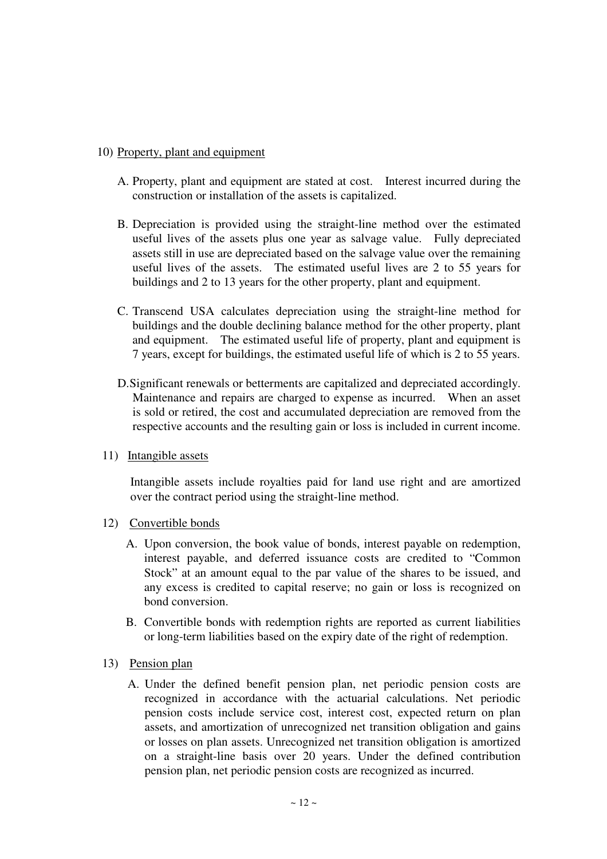# 10) Property, plant and equipment

- A. Property, plant and equipment are stated at cost. Interest incurred during the construction or installation of the assets is capitalized.
- B. Depreciation is provided using the straight-line method over the estimated useful lives of the assets plus one year as salvage value. Fully depreciated assets still in use are depreciated based on the salvage value over the remaining useful lives of the assets. The estimated useful lives are 2 to 55 years for buildings and 2 to 13 years for the other property, plant and equipment.
- C. Transcend USA calculates depreciation using the straight-line method for buildings and the double declining balance method for the other property, plant and equipment. The estimated useful life of property, plant and equipment is 7 years, except for buildings, the estimated useful life of which is 2 to 55 years.
- D. Significant renewals or betterments are capitalized and depreciated accordingly. Maintenance and repairs are charged to expense as incurred. When an asset is sold or retired, the cost and accumulated depreciation are removed from the respective accounts and the resulting gain or loss is included in current income.
- 11) Intangible assets

Intangible assets include royalties paid for land use right and are amortized over the contract period using the straight-line method.

- 12) Convertible bonds
	- A. Upon conversion, the book value of bonds, interest payable on redemption, interest payable, and deferred issuance costs are credited to "Common Stock" at an amount equal to the par value of the shares to be issued, and any excess is credited to capital reserve; no gain or loss is recognized on bond conversion.
	- B. Convertible bonds with redemption rights are reported as current liabilities or long-term liabilities based on the expiry date of the right of redemption.
- 13) Pension plan
	- A. Under the defined benefit pension plan, net periodic pension costs are recognized in accordance with the actuarial calculations. Net periodic pension costs include service cost, interest cost, expected return on plan assets, and amortization of unrecognized net transition obligation and gains or losses on plan assets. Unrecognized net transition obligation is amortized on a straight-line basis over 20 years. Under the defined contribution pension plan, net periodic pension costs are recognized as incurred.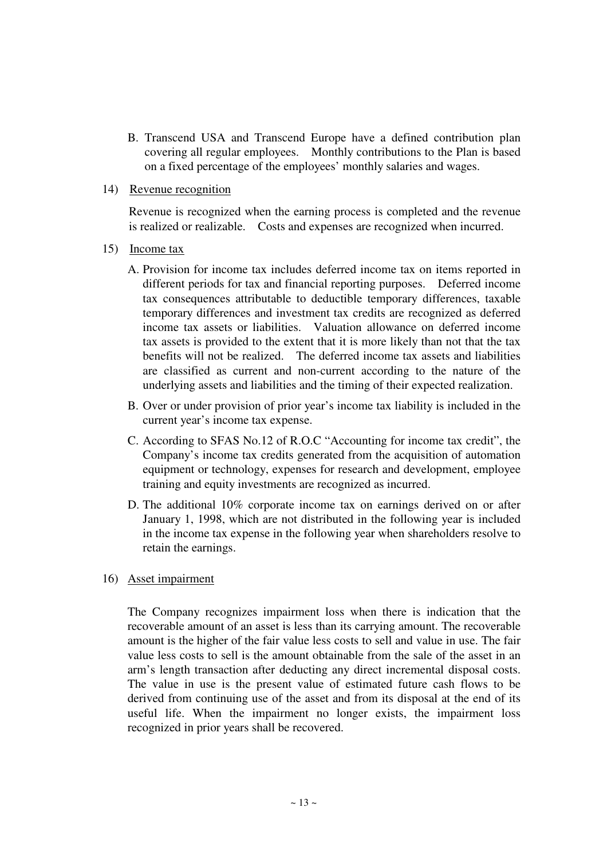B. Transcend USA and Transcend Europe have a defined contribution plan covering all regular employees. Monthly contributions to the Plan is based on a fixed percentage of the employees' monthly salaries and wages.

### 14) Revenue recognition

Revenue is recognized when the earning process is completed and the revenue is realized or realizable. Costs and expenses are recognized when incurred.

- 15) Income tax
	- A. Provision for income tax includes deferred income tax on items reported in different periods for tax and financial reporting purposes. Deferred income tax consequences attributable to deductible temporary differences, taxable temporary differences and investment tax credits are recognized as deferred income tax assets or liabilities. Valuation allowance on deferred income tax assets is provided to the extent that it is more likely than not that the tax benefits will not be realized. The deferred income tax assets and liabilities are classified as current and non-current according to the nature of the underlying assets and liabilities and the timing of their expected realization.
	- B. Over or under provision of prior year's income tax liability is included in the current year's income tax expense.
	- C. According to SFAS No.12 of R.O.C "Accounting for income tax credit", the Company's income tax credits generated from the acquisition of automation equipment or technology, expenses for research and development, employee training and equity investments are recognized as incurred.
	- D. The additional 10% corporate income tax on earnings derived on or after January 1, 1998, which are not distributed in the following year is included in the income tax expense in the following year when shareholders resolve to retain the earnings.
- 16) Asset impairment

The Company recognizes impairment loss when there is indication that the recoverable amount of an asset is less than its carrying amount. The recoverable amount is the higher of the fair value less costs to sell and value in use. The fair value less costs to sell is the amount obtainable from the sale of the asset in an arm's length transaction after deducting any direct incremental disposal costs. The value in use is the present value of estimated future cash flows to be derived from continuing use of the asset and from its disposal at the end of its useful life. When the impairment no longer exists, the impairment loss recognized in prior years shall be recovered.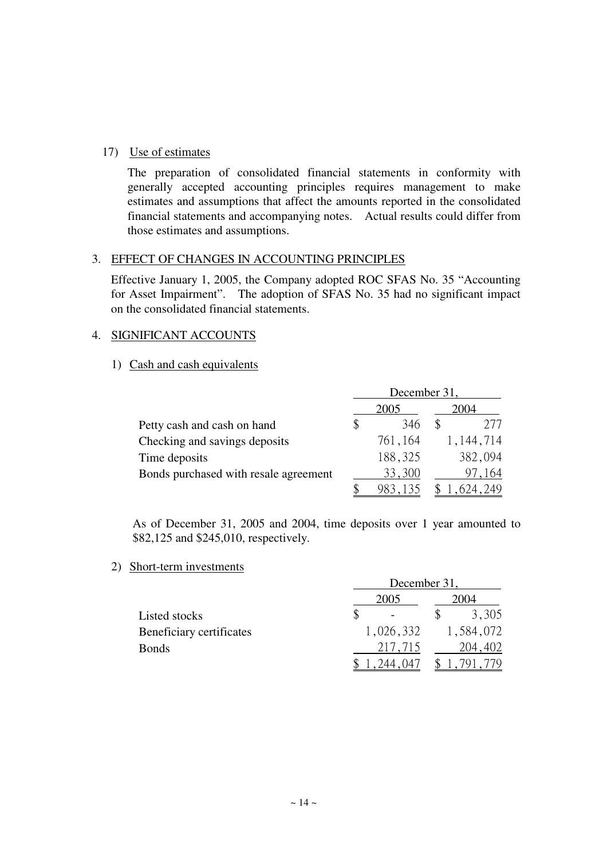# 17) Use of estimates

The preparation of consolidated financial statements in conformity with generally accepted accounting principles requires management to make estimates and assumptions that affect the amounts reported in the consolidated financial statements and accompanying notes. Actual results could differ from those estimates and assumptions.

# 3. EFFECT OF CHANGES IN ACCOUNTING PRINCIPLES

Effective January 1, 2005, the Company adopted ROC SFAS No. 35 "Accounting for Asset Impairment". The adoption of SFAS No. 35 had no significant impact on the consolidated financial statements.

# 4. SIGNIFICANT ACCOUNTS

# 1) Cash and cash equivalents

|                                       | December 31, |         |                   |  |  |
|---------------------------------------|--------------|---------|-------------------|--|--|
|                                       |              | 2005    | 2004              |  |  |
| Petty cash and cash on hand           | \$           | 346     | 277               |  |  |
| Checking and savings deposits         |              | 761,164 | 1,144,714         |  |  |
| Time deposits                         |              | 188,325 | 382,094           |  |  |
| Bonds purchased with resale agreement |              | 33,300  | $^{\prime}$ , 164 |  |  |
|                                       |              |         | .624,249          |  |  |

As of December 31, 2005 and 2004, time deposits over 1 year amounted to \$82,125 and \$245,010, respectively.

2) Short-term investments

|                          | December 31, |           |
|--------------------------|--------------|-----------|
|                          | 2005         | 2004      |
| Listed stocks            |              | 3,305     |
| Beneficiary certificates | 1,026,332    | 1,584,072 |
| <b>Bonds</b>             | 217,715      | 204,402   |
|                          | .244.047     |           |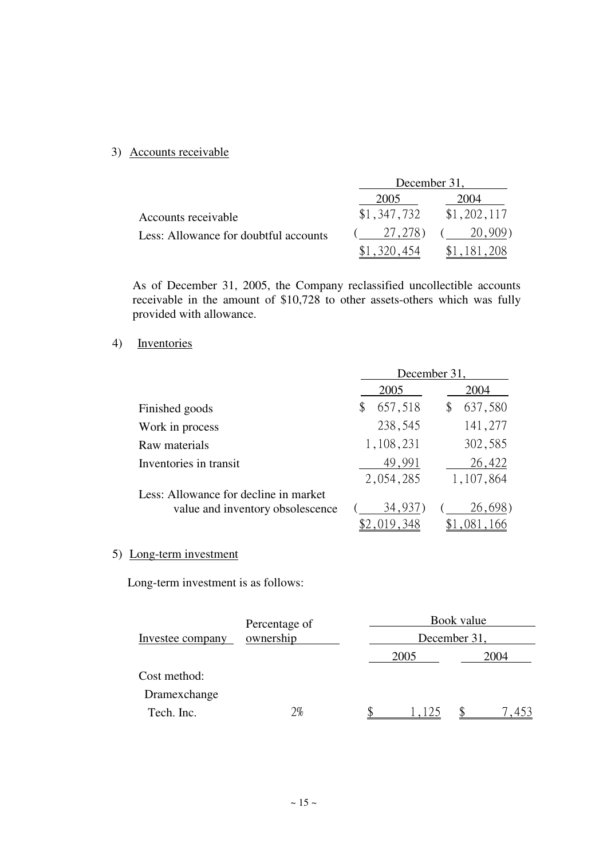# 3) Accounts receivable

|                                       | December 31, |             |
|---------------------------------------|--------------|-------------|
|                                       | 2005         | 2004        |
| Accounts receivable                   | \$1,347,732  | \$1,202,117 |
| Less: Allowance for doubtful accounts | 27, 278)     | 20,909)     |
|                                       |              |             |

As of December 31, 2005, the Company reclassified uncollectible accounts receivable in the amount of \$10,728 to other assets-others which was fully provided with allowance.

# 4) Inventories

|                                       | December 31,  |           |  |  |
|---------------------------------------|---------------|-----------|--|--|
|                                       | 2005          | 2004      |  |  |
| Finished goods                        | 657,518<br>\$ | 637,580   |  |  |
| Work in process                       | 238,545       | 141,277   |  |  |
| Raw materials                         | 1,108,231     | 302,585   |  |  |
| Inventories in transit                | 49,991        | 26,422    |  |  |
|                                       | 2,054,285     | 1,107,864 |  |  |
| Less: Allowance for decline in market |               |           |  |  |
| value and inventory obsolescence      | 34,937        | 26,698)   |  |  |
|                                       |               |           |  |  |

# 5) Long-term investment

Long-term investment is as follows:

|                  | Percentage of |              | Book value |              |  |  |
|------------------|---------------|--------------|------------|--------------|--|--|
| Investee company | ownership     | December 31, |            |              |  |  |
|                  |               | 2005         |            | 2004         |  |  |
| Cost method:     |               |              |            |              |  |  |
| Dramexchange     |               |              |            |              |  |  |
| Tech. Inc.       | $2\%$         | 1.125        |            | $45^{\circ}$ |  |  |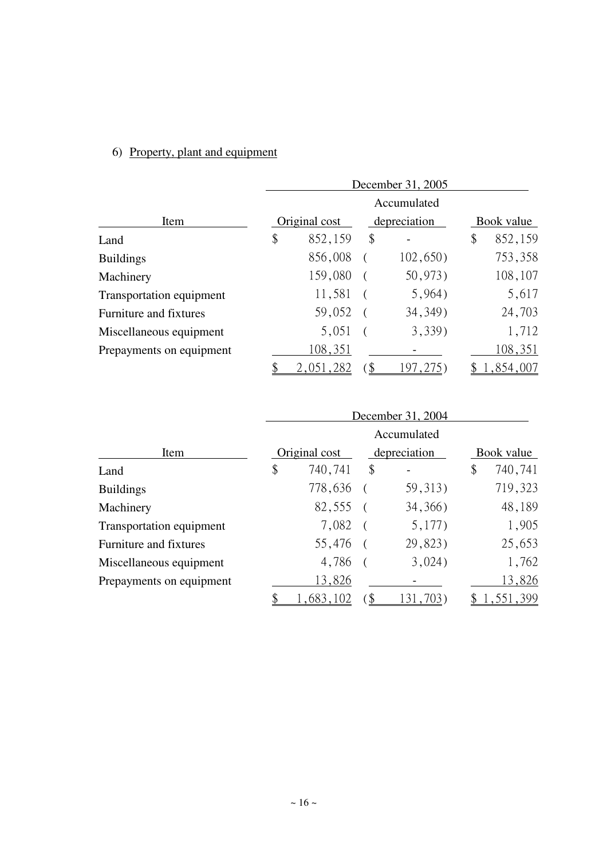# 6) Property, plant and equipment

|                          | December 31, 2005 |     |            |    |           |  |
|--------------------------|-------------------|-----|------------|----|-----------|--|
|                          | Accumulated       |     |            |    |           |  |
| Item                     | Original cost     |     | Book value |    |           |  |
| Land                     | \$<br>852,159     | \$  |            | \$ | 852,159   |  |
| <b>Buildings</b>         | 856,008           |     | 102,650)   |    | 753,358   |  |
| Machinery                | 159,080           |     | 50,973)    |    | 108,107   |  |
| Transportation equipment | 11,581            |     | 5,964)     |    | 5,617     |  |
| Furniture and fixtures   | 59,052            |     | 34, 349)   |    | 24,703    |  |
| Miscellaneous equipment  | 5,051             |     | 3,339)     |    | 1,712     |  |
| Prepayments on equipment | 108,351           |     |            |    | 108,351   |  |
|                          | 2,051,282         | `\$ | .97, 275   |    | 1,854,007 |  |

|                          | December 31, 2004 |     |              |            |           |  |
|--------------------------|-------------------|-----|--------------|------------|-----------|--|
|                          | Accumulated       |     |              |            |           |  |
| Item                     | Original cost     |     | depreciation | Book value |           |  |
| Land                     | \$<br>740,741     | \$  |              | \$         | 740,741   |  |
| <b>Buildings</b>         | 778,636           |     | 59, 313)     |            | 719,323   |  |
| Machinery                | 82,555            |     | 34, 366)     |            | 48,189    |  |
| Transportation equipment | 7,082             |     | 5,177)       |            | 1,905     |  |
| Furniture and fixtures   | 55,476            |     | 29,823)      |            | 25,653    |  |
| Miscellaneous equipment  | 4,786             |     | 3,024)       |            | 1,762     |  |
| Prepayments on equipment | 13,826            |     |              |            | 13,826    |  |
|                          | 1,683,102         | `\$ | 131,703)     |            | 1,551,399 |  |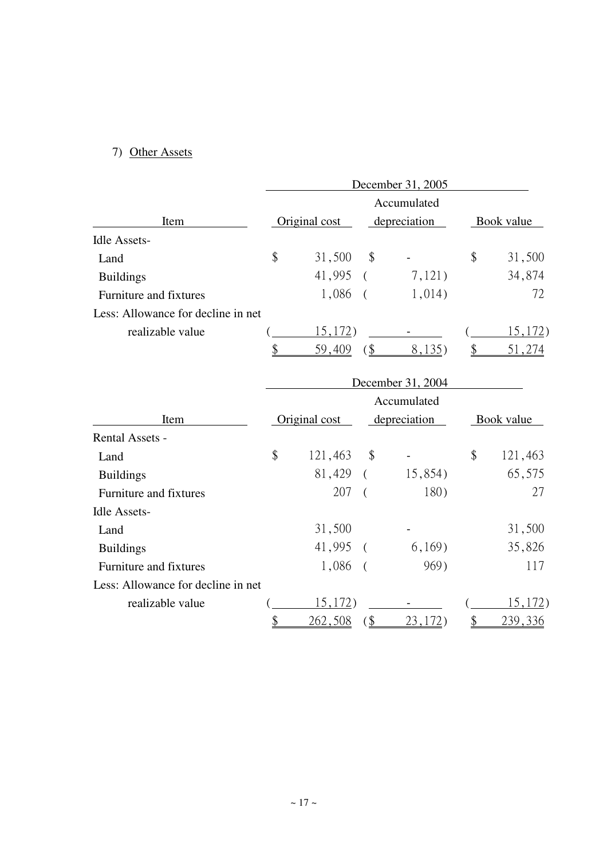# 7) Other Assets

|                                    | December 31, 2005 |                |                            |                 |                           |                |  |
|------------------------------------|-------------------|----------------|----------------------------|-----------------|---------------------------|----------------|--|
|                                    |                   |                |                            | Accumulated     |                           |                |  |
| Item                               |                   | Original cost  | depreciation               |                 | Book value                |                |  |
| <b>Idle Assets-</b>                |                   |                |                            |                 |                           |                |  |
| Land                               | \$                | 31,500         | $\boldsymbol{\mathsf{\$}}$ |                 | $\boldsymbol{\mathsf{S}}$ | 31,500         |  |
| <b>Buildings</b>                   |                   | 41,995         | $\left($                   | 7,121)          |                           | 34,874         |  |
| Furniture and fixtures             |                   | 1,086          | $\left($                   | 1,014)          |                           | 72             |  |
| Less: Allowance for decline in net |                   |                |                            |                 |                           |                |  |
| realizable value                   |                   | 15,172)        |                            |                 |                           | 15,172)        |  |
|                                    | \$                | 59,409         | $$^{+}$                    | 8,135)          | \$                        | 51,274         |  |
|                                    | December 31, 2004 |                |                            |                 |                           |                |  |
|                                    |                   |                |                            | Accumulated     |                           |                |  |
| Item                               |                   | Original cost  |                            | depreciation    |                           | Book value     |  |
| <b>Rental Assets -</b>             |                   |                |                            |                 |                           |                |  |
| Land                               | \$                | 121,463        | \$                         |                 | \$                        | 121,463        |  |
| <b>Buildings</b>                   |                   | 81,429         | $\left($                   | 15,854)         |                           | 65,575         |  |
| Furniture and fixtures             |                   | 207            | $\left($                   | 180)            |                           | 27             |  |
| <b>Idle Assets-</b>                |                   |                |                            |                 |                           |                |  |
| Land                               |                   | 31,500         |                            |                 |                           | 31,500         |  |
| <b>Buildings</b>                   |                   | 41,995         | $\left($                   | 6,169)          |                           | 35,826         |  |
| Furniture and fixtures             |                   | 1,086          | $\left($                   | 969)            |                           | 117            |  |
| Less: Allowance for decline in net |                   |                |                            |                 |                           |                |  |
| realizable value                   |                   | 15,172)        |                            |                 |                           | 15,172)        |  |
|                                    | $\frac{1}{2}$     | <u>262,508</u> | $\frac{1}{2}$              | <u>23,172</u> ) | $\frac{1}{2}$             | <u>239,336</u> |  |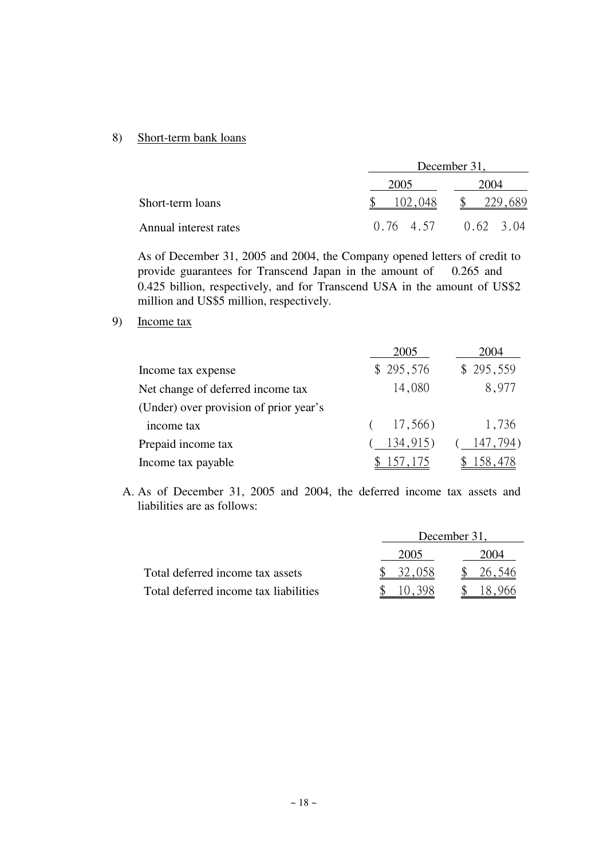### 8) Short-term bank loans

|                       |         | December 31,            |
|-----------------------|---------|-------------------------|
|                       | 2005    | 2004                    |
| Short-term loans      | 102,048 |                         |
| Annual interest rates |         | $0.76$ 4.57 $0.62$ 3.04 |

As of December 31, 2005 and 2004, the Company opened letters of credit to provide guarantees for Transcend Japan in the amount of 0.265 and 0.425 billion, respectively, and for Transcend USA in the amount of US\$2 million and US\$5 million, respectively.

9) Income tax

|                                        | 2005      | 2004      |
|----------------------------------------|-----------|-----------|
| Income tax expense                     | \$295,576 | \$295,559 |
| Net change of deferred income tax      | 14,080    | 8,977     |
| (Under) over provision of prior year's |           |           |
| income tax                             | 17,566)   | 1,736     |
| Prepaid income tax                     | 134,915)  | 147,794)  |
| Income tax payable                     | 157, 175  |           |

A. As of December 31, 2005 and 2004, the deferred income tax assets and liabilities are as follows:

|                                       |        | December 31, |
|---------------------------------------|--------|--------------|
|                                       | 2005   | 2004         |
| Total deferred income tax assets      | 32,058 | 26,546       |
| Total deferred income tax liabilities | 10.398 |              |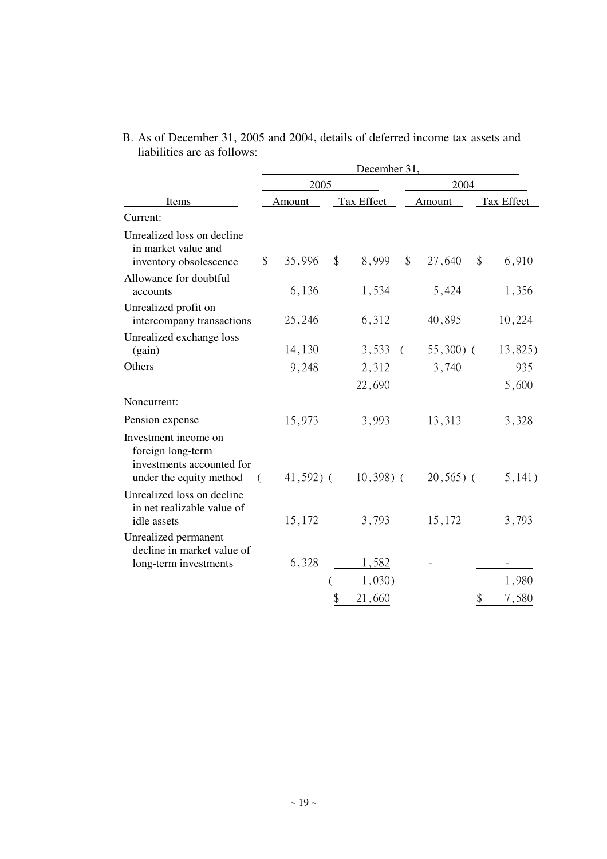|                                                                                                   | December 31, |              |               |                        |          |              |               |              |  |
|---------------------------------------------------------------------------------------------------|--------------|--------------|---------------|------------------------|----------|--------------|---------------|--------------|--|
| Items                                                                                             |              | 2005         |               |                        |          | 2004         |               |              |  |
|                                                                                                   |              | Amount       |               | Tax Effect             |          | Amount       |               | Tax Effect   |  |
| Current:                                                                                          |              |              |               |                        |          |              |               |              |  |
| Unrealized loss on decline<br>in market value and<br>inventory obsolescence                       | \$           | 35,996       | \$            | 8,999                  | \$       | 27,640       | \$            | 6,910        |  |
| Allowance for doubtful<br>accounts                                                                |              | 6,136        |               | 1,534                  |          | 5,424        |               | 1,356        |  |
| Unrealized profit on<br>intercompany transactions                                                 |              | 25,246       |               | 6,312                  |          | 40,895       |               | 10,224       |  |
| Unrealized exchange loss<br>(gain)                                                                |              | 14,130       |               | 3,533                  | $\left($ | $55,300$ (   |               | 13,825)      |  |
| Others                                                                                            |              | 9,248        |               | 2,312<br><u>22,690</u> |          | 3,740        |               | 935<br>5,600 |  |
| Noncurrent:                                                                                       |              |              |               |                        |          |              |               |              |  |
| Pension expense                                                                                   |              | 15,973       |               | 3,993                  |          | 13,313       |               | 3,328        |  |
| Investment income on<br>foreign long-term<br>investments accounted for<br>under the equity method | (            | $41,592$ ) ( |               | $10,398)$ (            |          | $20,565$ ) ( |               | 5,141)       |  |
| Unrealized loss on decline<br>in net realizable value of<br>idle assets                           |              | 15,172       |               | 3,793                  |          | 15,172       |               | 3,793        |  |
| Unrealized permanent<br>decline in market value of<br>long-term investments                       |              | 6,328        |               | 1,582                  |          |              |               |              |  |
|                                                                                                   |              |              |               | 1,030)                 |          |              |               | 1,980        |  |
|                                                                                                   |              |              | $\mathcal{S}$ | 21.660                 |          |              | $\mathcal{S}$ | 7.580        |  |

B. As of December 31, 2005 and 2004, details of deferred income tax assets and liabilities are as follows: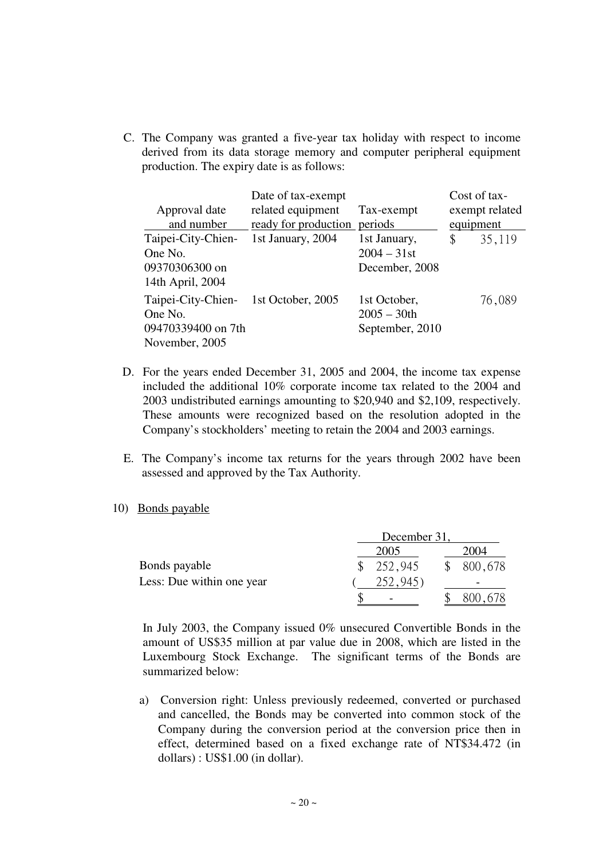C. The Company was granted a five-year tax holiday with respect to income derived from its data storage memory and computer peripheral equipment production. The expiry date is as follows:

| Approval date<br>and number                                           | Date of tax-exempt<br>related equipment<br>ready for production | Tax-exempt<br>periods                             | equipment | Cost of tax-<br>exempt related |
|-----------------------------------------------------------------------|-----------------------------------------------------------------|---------------------------------------------------|-----------|--------------------------------|
| Taipei-City-Chien-<br>One No.<br>09370306300 on<br>14th April, 2004   | 1st January, 2004                                               | 1st January,<br>$2004 - 31$ st<br>December, 2008  | \$        | 35,119                         |
| Taipei-City-Chien-<br>One No.<br>09470339400 on 7th<br>November, 2005 | 1st October, 2005                                               | 1st October,<br>$2005 - 30$ th<br>September, 2010 |           | 76,089                         |

- D. For the years ended December 31, 2005 and 2004, the income tax expense included the additional 10% corporate income tax related to the 2004 and 2003 undistributed earnings amounting to \$20,940 and \$2,109, respectively. These amounts were recognized based on the resolution adopted in the Company's stockholders' meeting to retain the 2004 and 2003 earnings.
- E. The Company's income tax returns for the years through 2002 have been assessed and approved by the Tax Authority.

### 10) Bonds payable

|                           | December 31. |  |         |  |  |
|---------------------------|--------------|--|---------|--|--|
|                           | 2005         |  | 2004    |  |  |
| Bonds payable             | 252,945      |  | 800,678 |  |  |
| Less: Due within one year |              |  |         |  |  |
|                           |              |  |         |  |  |

 In July 2003, the Company issued 0% unsecured Convertible Bonds in the amount of US\$35 million at par value due in 2008, which are listed in the Luxembourg Stock Exchange. The significant terms of the Bonds are summarized below:

a) Conversion right: Unless previously redeemed, converted or purchased and cancelled, the Bonds may be converted into common stock of the Company during the conversion period at the conversion price then in effect, determined based on a fixed exchange rate of NT\$34.472 (in dollars) : US\$1.00 (in dollar).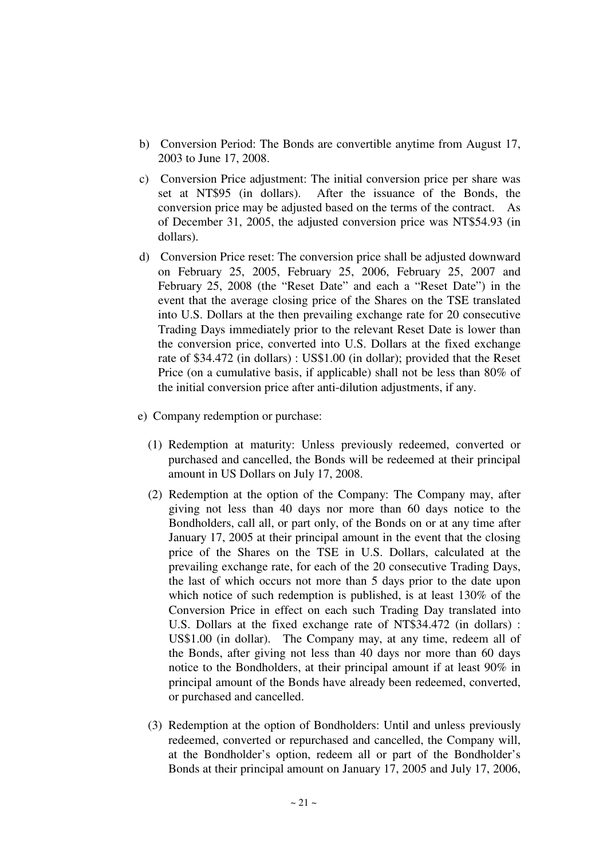- b) Conversion Period: The Bonds are convertible anytime from August 17, 2003 to June 17, 2008.
- c) Conversion Price adjustment: The initial conversion price per share was set at NT\$95 (in dollars). After the issuance of the Bonds, the conversion price may be adjusted based on the terms of the contract. As of December 31, 2005, the adjusted conversion price was NT\$54.93 (in dollars).
- d) Conversion Price reset: The conversion price shall be adjusted downward on February 25, 2005, February 25, 2006, February 25, 2007 and February 25, 2008 (the "Reset Date" and each a "Reset Date") in the event that the average closing price of the Shares on the TSE translated into U.S. Dollars at the then prevailing exchange rate for 20 consecutive Trading Days immediately prior to the relevant Reset Date is lower than the conversion price, converted into U.S. Dollars at the fixed exchange rate of \$34.472 (in dollars) : US\$1.00 (in dollar); provided that the Reset Price (on a cumulative basis, if applicable) shall not be less than 80% of the initial conversion price after anti-dilution adjustments, if any.
- e) Company redemption or purchase:
	- (1) Redemption at maturity: Unless previously redeemed, converted or purchased and cancelled, the Bonds will be redeemed at their principal amount in US Dollars on July 17, 2008.
	- (2) Redemption at the option of the Company: The Company may, after giving not less than 40 days nor more than 60 days notice to the Bondholders, call all, or part only, of the Bonds on or at any time after January 17, 2005 at their principal amount in the event that the closing price of the Shares on the TSE in U.S. Dollars, calculated at the prevailing exchange rate, for each of the 20 consecutive Trading Days, the last of which occurs not more than 5 days prior to the date upon which notice of such redemption is published, is at least 130% of the Conversion Price in effect on each such Trading Day translated into U.S. Dollars at the fixed exchange rate of NT\$34.472 (in dollars) : US\$1.00 (in dollar). The Company may, at any time, redeem all of the Bonds, after giving not less than 40 days nor more than 60 days notice to the Bondholders, at their principal amount if at least 90% in principal amount of the Bonds have already been redeemed, converted, or purchased and cancelled.
	- (3) Redemption at the option of Bondholders: Until and unless previously redeemed, converted or repurchased and cancelled, the Company will, at the Bondholder's option, redeem all or part of the Bondholder's Bonds at their principal amount on January 17, 2005 and July 17, 2006,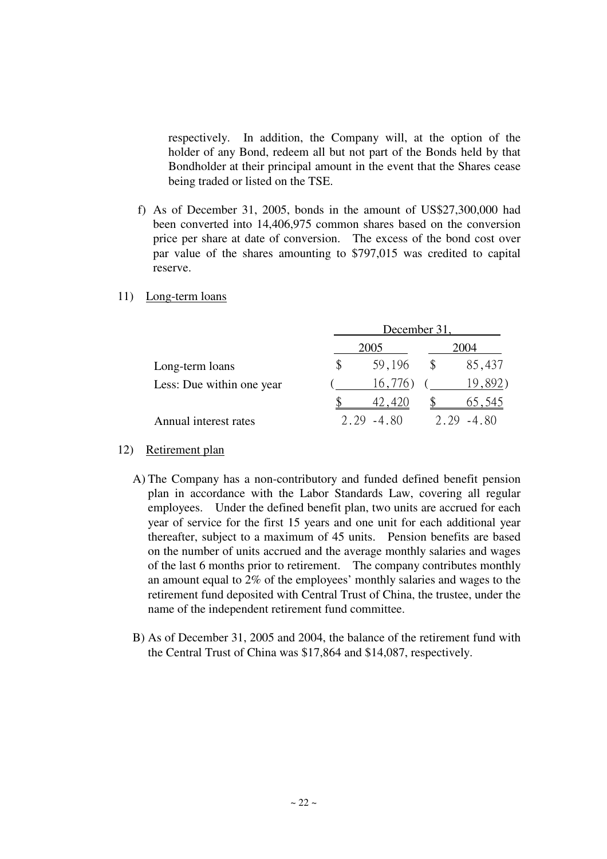respectively. In addition, the Company will, at the option of the holder of any Bond, redeem all but not part of the Bonds held by that Bondholder at their principal amount in the event that the Shares cease being traded or listed on the TSE.

- f) As of December 31, 2005, bonds in the amount of US\$27,300,000 had been converted into 14,406,975 common shares based on the conversion price per share at date of conversion. The excess of the bond cost over par value of the shares amounting to \$797,015 was credited to capital reserve.
- 11) Long-term loans

|                           |   | December 31, |      |         |  |  |  |  |
|---------------------------|---|--------------|------|---------|--|--|--|--|
|                           |   | 2005         | 2004 |         |  |  |  |  |
| Long-term loans           | S | 59,196       |      | 85,437  |  |  |  |  |
| Less: Due within one year |   | 16,776)      |      | 19,892) |  |  |  |  |
|                           |   |              |      | 65.545  |  |  |  |  |
| Annual interest rates     |   | -4 80        |      | 480     |  |  |  |  |

- 12) Retirement plan
	- A) The Company has a non-contributory and funded defined benefit pension plan in accordance with the Labor Standards Law, covering all regular employees. Under the defined benefit plan, two units are accrued for each year of service for the first 15 years and one unit for each additional year thereafter, subject to a maximum of 45 units. Pension benefits are based on the number of units accrued and the average monthly salaries and wages of the last 6 months prior to retirement. The company contributes monthly an amount equal to 2% of the employees' monthly salaries and wages to the retirement fund deposited with Central Trust of China, the trustee, under the name of the independent retirement fund committee.
	- B) As of December 31, 2005 and 2004, the balance of the retirement fund with the Central Trust of China was \$17,864 and \$14,087, respectively.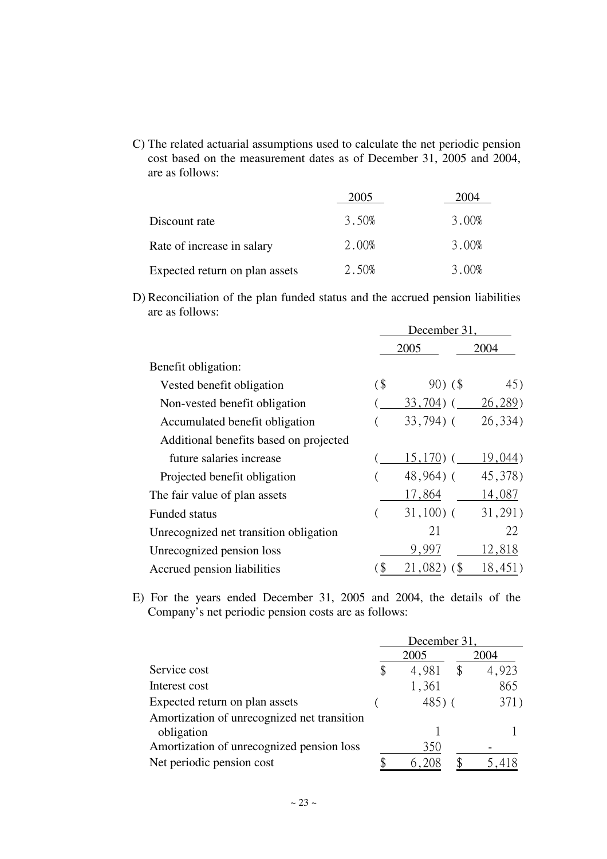C) The related actuarial assumptions used to calculate the net periodic pension cost based on the measurement dates as of December 31, 2005 and 2004, are as follows:

|                                | 2005  | 2004  |
|--------------------------------|-------|-------|
| Discount rate                  | 3.50% | 3.00% |
| Rate of increase in salary     | 2.00% | 3.00% |
| Expected return on plan assets | 2.50% | 3.00% |

D) Reconciliation of the plan funded status and the accrued pension liabilities are as follows:

|                                        | December 31. |              |         |  |  |
|----------------------------------------|--------------|--------------|---------|--|--|
|                                        |              | 2005         | 2004    |  |  |
| Benefit obligation:                    |              |              |         |  |  |
| Vested benefit obligation              | (            | $90)$ (\$)   | 45)     |  |  |
| Non-vested benefit obligation          |              | $33,704$ ) ( | 26,289) |  |  |
| Accumulated benefit obligation         |              | $33,794$ ) ( | 26,334) |  |  |
| Additional benefits based on projected |              |              |         |  |  |
| future salaries increase               |              | $15,170)$ (  | 19,044) |  |  |
| Projected benefit obligation           |              | $48,964$ ) ( | 45,378) |  |  |
| The fair value of plan assets          |              | 17,864       | 14,087  |  |  |
| <b>Funded status</b>                   |              | $31,100)$ (  | 31,291) |  |  |
| Unrecognized net transition obligation |              | 21           | 22      |  |  |
| Unrecognized pension loss              |              | 9,997        | 12,818  |  |  |
| Accrued pension liabilities            | \$           | 21,082       | 18,451  |  |  |

E) For the years ended December 31, 2005 and 2004, the details of the Company's net periodic pension costs are as follows:

|                                             | December 31 |       |      |       |  |  |
|---------------------------------------------|-------------|-------|------|-------|--|--|
|                                             |             | 2005  |      | 2004  |  |  |
| Service cost                                | \$          | 4,981 | \$   | 4,923 |  |  |
| Interest cost                               |             | 1,361 |      | 865   |  |  |
| Expected return on plan assets              | 485) (      |       | 371) |       |  |  |
| Amortization of unrecognized net transition |             |       |      |       |  |  |
| obligation                                  |             |       |      |       |  |  |
| Amortization of unrecognized pension loss   |             | 350   |      |       |  |  |
| Net periodic pension cost                   |             |       |      |       |  |  |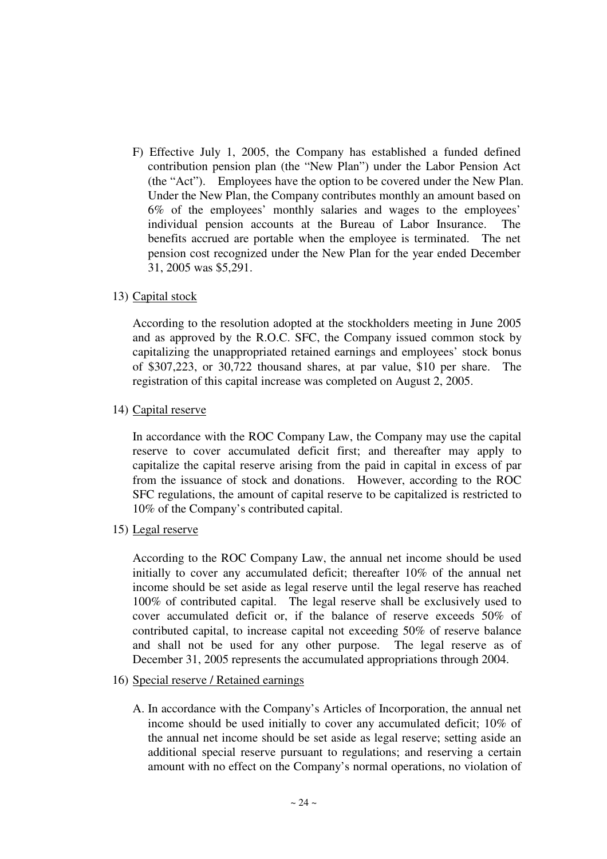F) Effective July 1, 2005, the Company has established a funded defined contribution pension plan (the "New Plan") under the Labor Pension Act (the "Act"). Employees have the option to be covered under the New Plan. Under the New Plan, the Company contributes monthly an amount based on 6% of the employees' monthly salaries and wages to the employees' individual pension accounts at the Bureau of Labor Insurance. The benefits accrued are portable when the employee is terminated. The net pension cost recognized under the New Plan for the year ended December 31, 2005 was \$5,291.

# 13) Capital stock

According to the resolution adopted at the stockholders meeting in June 2005 and as approved by the R.O.C. SFC, the Company issued common stock by capitalizing the unappropriated retained earnings and employees' stock bonus of \$307,223, or 30,722 thousand shares, at par value, \$10 per share. The registration of this capital increase was completed on August 2, 2005.

# 14) Capital reserve

In accordance with the ROC Company Law, the Company may use the capital reserve to cover accumulated deficit first; and thereafter may apply to capitalize the capital reserve arising from the paid in capital in excess of par from the issuance of stock and donations. However, according to the ROC SFC regulations, the amount of capital reserve to be capitalized is restricted to 10% of the Company's contributed capital.

15) Legal reserve

According to the ROC Company Law, the annual net income should be used initially to cover any accumulated deficit; thereafter 10% of the annual net income should be set aside as legal reserve until the legal reserve has reached 100% of contributed capital. The legal reserve shall be exclusively used to cover accumulated deficit or, if the balance of reserve exceeds 50% of contributed capital, to increase capital not exceeding 50% of reserve balance and shall not be used for any other purpose. The legal reserve as of December 31, 2005 represents the accumulated appropriations through 2004.

### 16) Special reserve / Retained earnings

A. In accordance with the Company's Articles of Incorporation, the annual net income should be used initially to cover any accumulated deficit; 10% of the annual net income should be set aside as legal reserve; setting aside an additional special reserve pursuant to regulations; and reserving a certain amount with no effect on the Company's normal operations, no violation of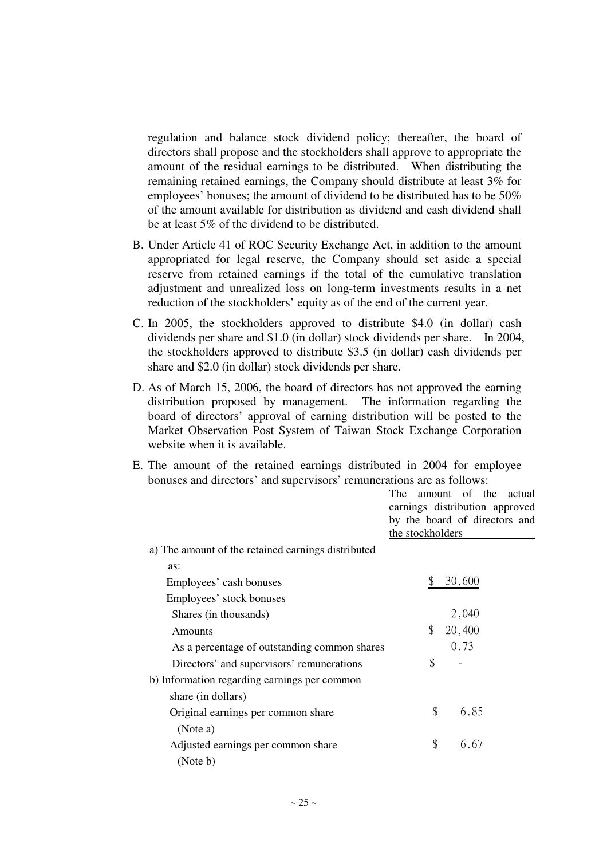regulation and balance stock dividend policy; thereafter, the board of directors shall propose and the stockholders shall approve to appropriate the amount of the residual earnings to be distributed. When distributing the remaining retained earnings, the Company should distribute at least 3% for employees' bonuses; the amount of dividend to be distributed has to be 50% of the amount available for distribution as dividend and cash dividend shall be at least 5% of the dividend to be distributed.

- B. Under Article 41 of ROC Security Exchange Act, in addition to the amount appropriated for legal reserve, the Company should set aside a special reserve from retained earnings if the total of the cumulative translation adjustment and unrealized loss on long-term investments results in a net reduction of the stockholders' equity as of the end of the current year.
- C. In 2005, the stockholders approved to distribute \$4.0 (in dollar) cash dividends per share and \$1.0 (in dollar) stock dividends per share. In 2004, the stockholders approved to distribute \$3.5 (in dollar) cash dividends per share and \$2.0 (in dollar) stock dividends per share.
- D. As of March 15, 2006, the board of directors has not approved the earning distribution proposed by management. The information regarding the board of directors' approval of earning distribution will be posted to the Market Observation Post System of Taiwan Stock Exchange Corporation website when it is available.
- E. The amount of the retained earnings distributed in 2004 for employee bonuses and directors' and supervisors' remunerations are as follows:

|                                                    | The<br>amount of the actual<br>earnings distribution approved |
|----------------------------------------------------|---------------------------------------------------------------|
|                                                    | by the board of directors and<br>the stockholders             |
| a) The amount of the retained earnings distributed |                                                               |
| as:                                                |                                                               |
| Employees' cash bonuses                            | 30,600                                                        |
| Employees' stock bonuses                           |                                                               |
| Shares (in thousands)                              | 2,040                                                         |
| Amounts                                            | \$<br>20,400                                                  |
| As a percentage of outstanding common shares       | 0.73                                                          |
| Directors' and supervisors' remunerations          | \$                                                            |
| b) Information regarding earnings per common       |                                                               |
| share (in dollars)                                 |                                                               |
| Original earnings per common share                 | \$<br>6.85                                                    |
| (Note a)                                           |                                                               |
| Adjusted earnings per common share                 | \$<br>6.67                                                    |
| (Note b)                                           |                                                               |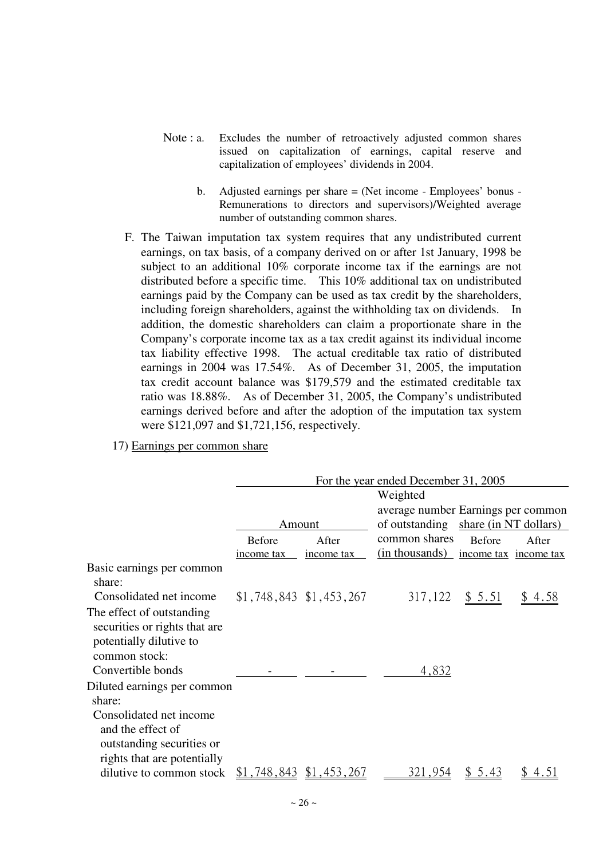- Note : a. Excludes the number of retroactively adjusted common shares issued on capitalization of earnings, capital reserve and capitalization of employees' dividends in 2004.
	- b. Adjusted earnings per share = (Net income Employees' bonus Remunerations to directors and supervisors)/Weighted average number of outstanding common shares.
- F. The Taiwan imputation tax system requires that any undistributed current earnings, on tax basis, of a company derived on or after 1st January, 1998 be subject to an additional 10% corporate income tax if the earnings are not distributed before a specific time. This 10% additional tax on undistributed earnings paid by the Company can be used as tax credit by the shareholders, including foreign shareholders, against the withholding tax on dividends. In addition, the domestic shareholders can claim a proportionate share in the Company's corporate income tax as a tax credit against its individual income tax liability effective 1998. The actual creditable tax ratio of distributed earnings in 2004 was 17.54%. As of December 31, 2005, the imputation tax credit account balance was \$179,579 and the estimated creditable tax ratio was 18.88%. As of December 31, 2005, the Company's undistributed earnings derived before and after the adoption of the imputation tax system were \$121,097 and \$1,721,156, respectively.

17) Earnings per common share

|                                                                                                          |               |                           | For the year ended December 31, 2005 |        |        |
|----------------------------------------------------------------------------------------------------------|---------------|---------------------------|--------------------------------------|--------|--------|
|                                                                                                          |               |                           | Weighted                             |        |        |
|                                                                                                          |               |                           | average number Earnings per common   |        |        |
|                                                                                                          | Amount        |                           | of outstanding share (in NT dollars) |        |        |
|                                                                                                          | <b>Before</b> | After                     | common shares                        | Before | After  |
|                                                                                                          | income tax    | income tax                | (in thousands) income tax income tax |        |        |
| Basic earnings per common<br>share:                                                                      |               |                           |                                      |        |        |
| Consolidated net income                                                                                  |               | $$1,748,843$ $$1,453,267$ | 317,122                              | \$5.51 | \$4.58 |
| The effect of outstanding<br>securities or rights that are<br>potentially dilutive to<br>common stock:   |               |                           |                                      |        |        |
| Convertible bonds                                                                                        |               |                           | 4,832                                |        |        |
| Diluted earnings per common<br>share:                                                                    |               |                           |                                      |        |        |
| Consolidated net income<br>and the effect of<br>outstanding securities or<br>rights that are potentially |               |                           |                                      |        |        |
| dilutive to common stock                                                                                 |               | $$1,748,843$ $$1,453,267$ | 321,954                              | 5.43   |        |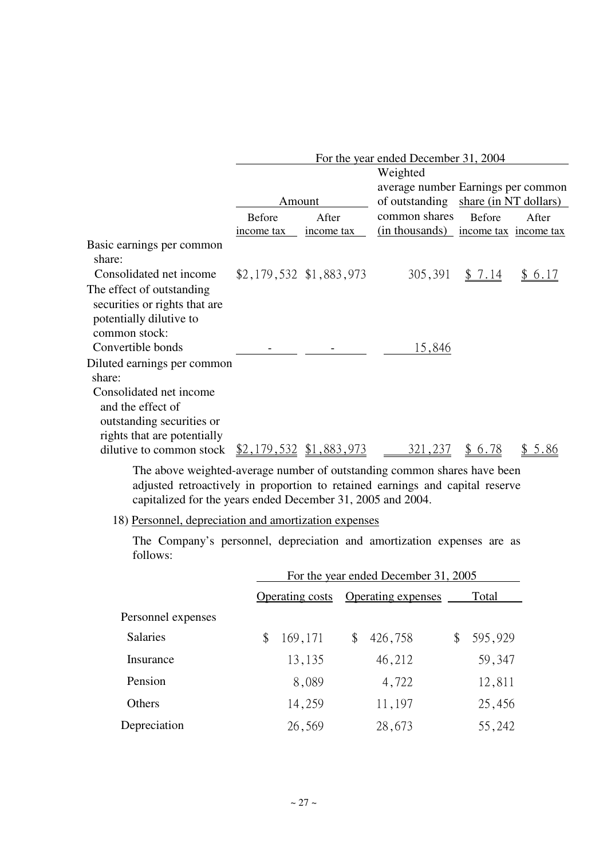|                                                                                                          |               |                          | For the year ended December 31, 2004 |               |                       |  |
|----------------------------------------------------------------------------------------------------------|---------------|--------------------------|--------------------------------------|---------------|-----------------------|--|
|                                                                                                          |               | Weighted                 |                                      |               |                       |  |
|                                                                                                          |               |                          | average number Earnings per common   |               |                       |  |
|                                                                                                          | Amount        |                          | of outstanding share (in NT dollars) |               |                       |  |
|                                                                                                          | <b>Before</b> | After                    | common shares                        | <b>Before</b> | After                 |  |
|                                                                                                          | income tax    | income tax               | (in thousands)                       |               | income tax income tax |  |
| Basic earnings per common<br>share:                                                                      |               |                          |                                      |               |                       |  |
| Consolidated net income                                                                                  |               | $$2,179,532$ \$1,883,973 | 305,391                              | 7.14          | 6.17                  |  |
| The effect of outstanding<br>securities or rights that are<br>potentially dilutive to                    |               |                          |                                      |               |                       |  |
| common stock:                                                                                            |               |                          |                                      |               |                       |  |
| Convertible bonds                                                                                        |               |                          | 15,846                               |               |                       |  |
| Diluted earnings per common<br>share:                                                                    |               |                          |                                      |               |                       |  |
| Consolidated net income<br>and the effect of<br>outstanding securities or<br>rights that are potentially |               |                          |                                      |               |                       |  |
| dilutive to common stock                                                                                 |               | \$2,179,532 \$1,883,973  | 321,237                              | 6.78<br>Ж.    | 5.86                  |  |

The above weighted-average number of outstanding common shares have been adjusted retroactively in proportion to retained earnings and capital reserve capitalized for the years ended December 31, 2005 and 2004.

18) Personnel, depreciation and amortization expenses

The Company's personnel, depreciation and amortization expenses are as follows:

|                    | For the year ended December 31, 2005 |                                       |    |         |       |         |  |
|--------------------|--------------------------------------|---------------------------------------|----|---------|-------|---------|--|
|                    |                                      | Operating expenses<br>Operating costs |    |         | Total |         |  |
| Personnel expenses |                                      |                                       |    |         |       |         |  |
| <b>Salaries</b>    |                                      | 169,171                               | \$ | 426,758 |       | 595,929 |  |
| Insurance          |                                      | 13,135                                |    | 46,212  |       | 59,347  |  |
| Pension            |                                      | 8,089                                 |    | 4,722   |       | 12,811  |  |
| Others             |                                      | 14,259                                |    | 11,197  |       | 25,456  |  |
| Depreciation       |                                      | 26,569                                |    | 28,673  |       | 55,242  |  |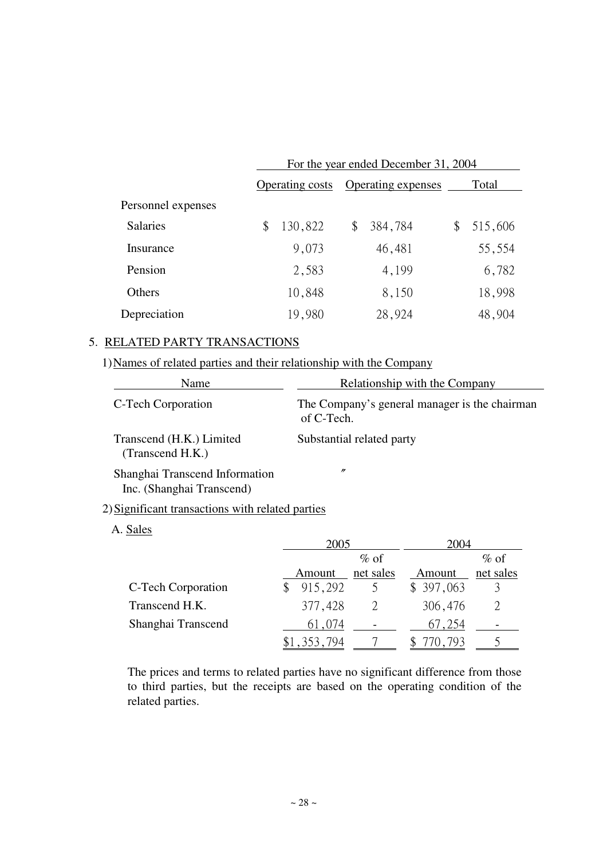|                    | For the year ended December 31, 2004 |                        |                           |         |    |         |  |
|--------------------|--------------------------------------|------------------------|---------------------------|---------|----|---------|--|
|                    |                                      | <b>Operating costs</b> | <b>Operating expenses</b> |         |    | Total   |  |
| Personnel expenses |                                      |                        |                           |         |    |         |  |
| <b>Salaries</b>    | \$                                   | 130,822                | \$                        | 384,784 | \$ | 515,606 |  |
| Insurance          |                                      | 9,073                  |                           | 46,481  |    | 55,554  |  |
| Pension            |                                      | 2,583                  |                           | 4,199   |    | 6,782   |  |
| <b>Others</b>      |                                      | 10,848                 |                           | 8,150   |    | 18,998  |  |
| Depreciation       |                                      | 19,980                 |                           | 28,924  |    | 48,904  |  |

# 5. RELATED PARTY TRANSACTIONS

# 1) Names of related parties and their relationship with the Company

| Name                                                        | Relationship with the Company                               |  |  |  |
|-------------------------------------------------------------|-------------------------------------------------------------|--|--|--|
| C-Tech Corporation                                          | The Company's general manager is the chairman<br>of C-Tech. |  |  |  |
| Transcend (H.K.) Limited<br>(Transcend H.K.)                | Substantial related party                                   |  |  |  |
| Shanghai Transcend Information<br>Inc. (Shanghai Transcend) | $\prime\prime$                                              |  |  |  |

# 2) Significant transactions with related parties

## A. Sales

|                    | 2005    |           | 2004      |           |  |
|--------------------|---------|-----------|-----------|-----------|--|
|                    | $\%$ of |           |           | $\%$ of   |  |
|                    | Amount  | net sales | Amount    | net sales |  |
| C-Tech Corporation | 915,292 |           | \$397,063 |           |  |
| Transcend H.K.     | 377,428 |           | 306,476   |           |  |
| Shanghai Transcend | 61,074  |           | 67,254    |           |  |
|                    |         |           |           |           |  |

The prices and terms to related parties have no significant difference from those to third parties, but the receipts are based on the operating condition of the related parties.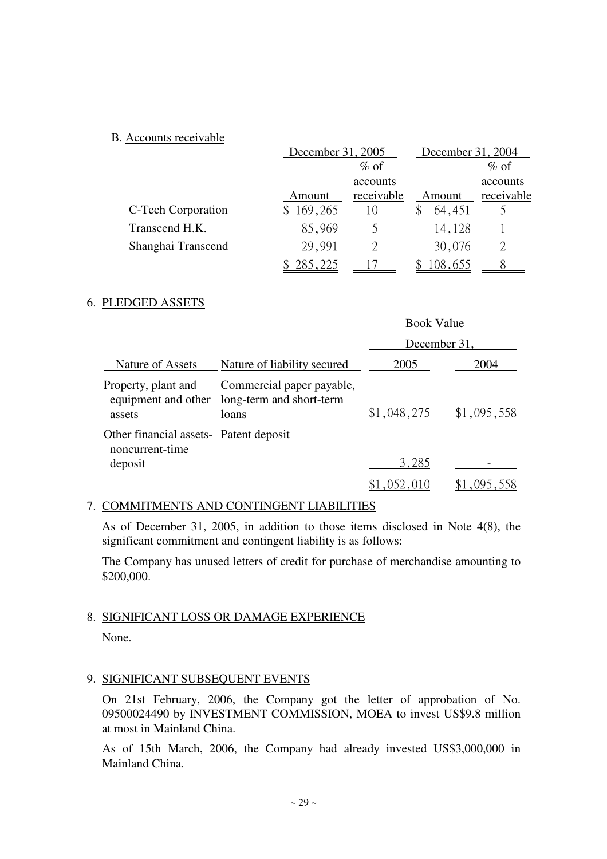# B. Accounts receivable

|                    |         | December 31, 2005 |        |         | December 31, 2004 |
|--------------------|---------|-------------------|--------|---------|-------------------|
|                    |         | $\%$ of           |        |         | $\%$ of           |
|                    |         | accounts          |        |         | accounts          |
|                    | Amount  | receivable        | Amount |         | receivable        |
| C-Tech Corporation | 169,265 | $\vert$ ()        |        | 64,451  |                   |
| Transcend H.K.     | 85,969  |                   |        | 14,128  |                   |
| Shanghai Transcend | 29.991  |                   |        | 30,076  |                   |
|                    | 285,225 |                   |        | 108.655 |                   |

# 6. PLEDGED ASSETS

|                                                                      |                                                                | <b>Book Value</b> |             |  |  |
|----------------------------------------------------------------------|----------------------------------------------------------------|-------------------|-------------|--|--|
|                                                                      |                                                                | December 31,      |             |  |  |
| Nature of Assets                                                     | Nature of liability secured                                    | 2005              | 2004        |  |  |
| Property, plant and<br>equipment and other<br>assets                 | Commercial paper payable,<br>long-term and short-term<br>loans | \$1,048,275       | \$1,095,558 |  |  |
| Other financial assets- Patent deposit<br>noncurrent-time<br>deposit |                                                                | 3,285             |             |  |  |
|                                                                      |                                                                |                   |             |  |  |

# 7. COMMITMENTS AND CONTINGENT LIABILITIES

As of December 31, 2005, in addition to those items disclosed in Note 4(8), the significant commitment and contingent liability is as follows:

The Company has unused letters of credit for purchase of merchandise amounting to \$200,000.

# 8. SIGNIFICANT LOSS OR DAMAGE EXPERIENCE

None.

# 9. SIGNIFICANT SUBSEQUENT EVENTS

On 21st February, 2006, the Company got the letter of approbation of No. 09500024490 by INVESTMENT COMMISSION, MOEA to invest US\$9.8 million at most in Mainland China.

As of 15th March, 2006, the Company had already invested US\$3,000,000 in Mainland China.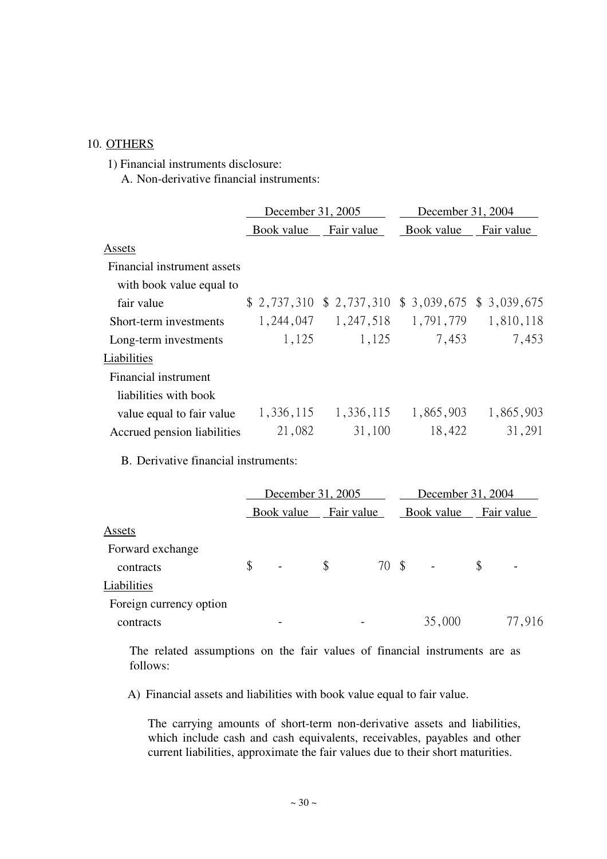### 10. OTHERS

1) Financial instruments disclosure:

A. Non-derivative financial instruments:

|                             | December 31, 2005 |                                                  | December 31, 2004 |            |  |
|-----------------------------|-------------------|--------------------------------------------------|-------------------|------------|--|
|                             | Book value        | Fair value                                       | Book value        | Fair value |  |
| Assets                      |                   |                                                  |                   |            |  |
| Financial instrument assets |                   |                                                  |                   |            |  |
| with book value equal to    |                   |                                                  |                   |            |  |
| fair value                  |                   | $$2,737,310 \$2,737,310 \$3,039,675 \$3,039,675$ |                   |            |  |
| Short-term investments      | 1, 244, 047       | 1,247,518                                        | 1,791,779         | 1,810,118  |  |
| Long-term investments       | 1,125             | 1,125                                            | 7,453             | 7,453      |  |
| Liabilities                 |                   |                                                  |                   |            |  |
| Financial instrument        |                   |                                                  |                   |            |  |
| liabilities with book       |                   |                                                  |                   |            |  |
| value equal to fair value   | 1,336,115         | 1,336,115                                        | 1,865,903         | 1,865,903  |  |
| Accrued pension liabilities | 21,082            | 31,100                                           | 18,422            | 31,291     |  |

B. Derivative financial instruments:

|                         | December 31, 2005              |            |       |  | December 31, 2004            |    |                          |  |
|-------------------------|--------------------------------|------------|-------|--|------------------------------|----|--------------------------|--|
|                         | Book value                     | Fair value |       |  | Book value                   |    | Fair value               |  |
| Assets                  |                                |            |       |  |                              |    |                          |  |
| Forward exchange        |                                |            |       |  |                              |    |                          |  |
| contracts               | \$<br>$\overline{\phantom{a}}$ | \$         | 70 \$ |  | $\qquad \qquad \blacksquare$ | \$ | $\overline{\phantom{m}}$ |  |
| Liabilities             |                                |            |       |  |                              |    |                          |  |
| Foreign currency option |                                |            |       |  |                              |    |                          |  |
| contracts               |                                |            |       |  | 35,000                       |    | 77,916                   |  |

The related assumptions on the fair values of financial instruments are as follows:

A) Financial assets and liabilities with book value equal to fair value.

The carrying amounts of short-term non-derivative assets and liabilities, which include cash and cash equivalents, receivables, payables and other current liabilities, approximate the fair values due to their short maturities.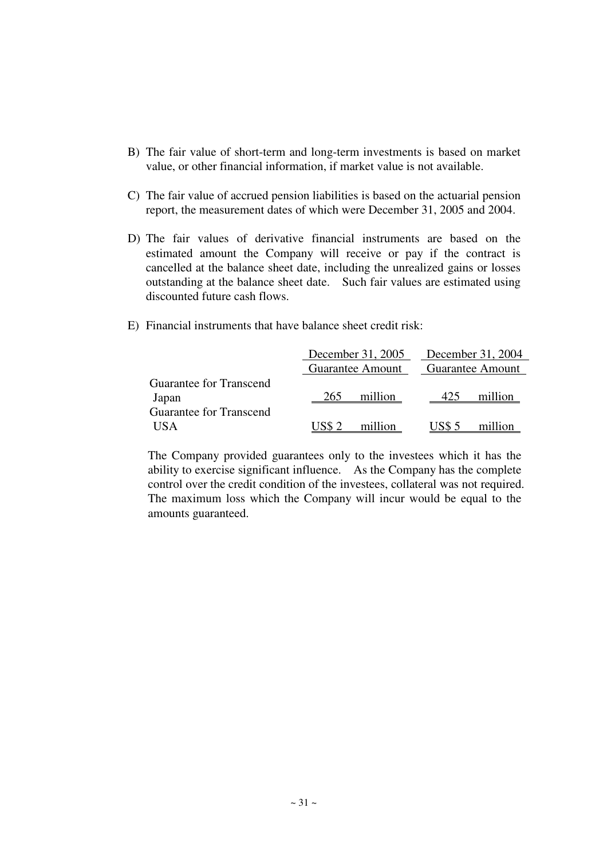- B) The fair value of short-term and long-term investments is based on market value, or other financial information, if market value is not available.
- C) The fair value of accrued pension liabilities is based on the actuarial pension report, the measurement dates of which were December 31, 2005 and 2004.
- D) The fair values of derivative financial instruments are based on the estimated amount the Company will receive or pay if the contract is cancelled at the balance sheet date, including the unrealized gains or losses outstanding at the balance sheet date. Such fair values are estimated using discounted future cash flows.
- E) Financial instruments that have balance sheet credit risk:

|                                  |        | December 31, 2005       | December 31, 2004 |                         |  |  |
|----------------------------------|--------|-------------------------|-------------------|-------------------------|--|--|
|                                  |        | <b>Guarantee Amount</b> |                   | <b>Guarantee Amount</b> |  |  |
| Guarantee for Transcend<br>Japan | 265    | million                 | 425               | million                 |  |  |
| Guarantee for Transcend          |        |                         |                   |                         |  |  |
| <b>IISA</b>                      | US\$ 2 | million                 | US\$ 5            | million                 |  |  |

The Company provided guarantees only to the investees which it has the ability to exercise significant influence. As the Company has the complete control over the credit condition of the investees, collateral was not required. The maximum loss which the Company will incur would be equal to the amounts guaranteed.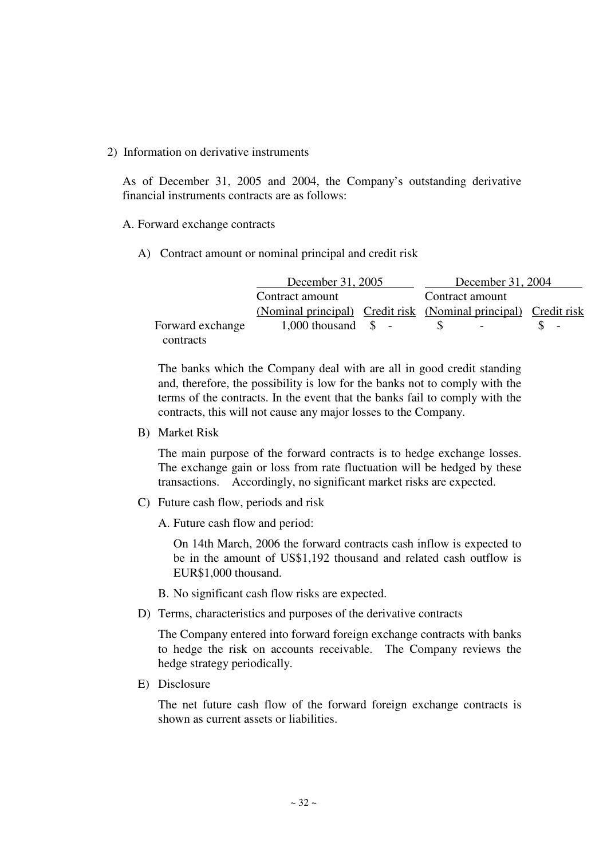### 2) Information on derivative instruments

As of December 31, 2005 and 2004, the Company's outstanding derivative financial instruments contracts are as follows:

### A. Forward exchange contracts

A) Contract amount or nominal principal and credit risk

|                  | December 31, 2005                                               |  | December 31, 2004 |                          |  |  |  |  |  |
|------------------|-----------------------------------------------------------------|--|-------------------|--------------------------|--|--|--|--|--|
|                  | Contract amount                                                 |  | Contract amount   |                          |  |  |  |  |  |
|                  | (Nominal principal) Credit risk (Nominal principal) Credit risk |  |                   |                          |  |  |  |  |  |
| Forward exchange | $1,000$ thousand $\quad$ -                                      |  |                   | $\overline{\phantom{a}}$ |  |  |  |  |  |
| contracts        |                                                                 |  |                   |                          |  |  |  |  |  |

The banks which the Company deal with are all in good credit standing and, therefore, the possibility is low for the banks not to comply with the terms of the contracts. In the event that the banks fail to comply with the contracts, this will not cause any major losses to the Company.

B) Market Risk

The main purpose of the forward contracts is to hedge exchange losses. The exchange gain or loss from rate fluctuation will be hedged by these transactions. Accordingly, no significant market risks are expected.

- C) Future cash flow, periods and risk
	- A. Future cash flow and period:

On 14th March, 2006 the forward contracts cash inflow is expected to be in the amount of US\$1,192 thousand and related cash outflow is EUR\$1,000 thousand.

- B. No significant cash flow risks are expected.
- D) Terms, characteristics and purposes of the derivative contracts

The Company entered into forward foreign exchange contracts with banks to hedge the risk on accounts receivable. The Company reviews the hedge strategy periodically.

E) Disclosure

The net future cash flow of the forward foreign exchange contracts is shown as current assets or liabilities.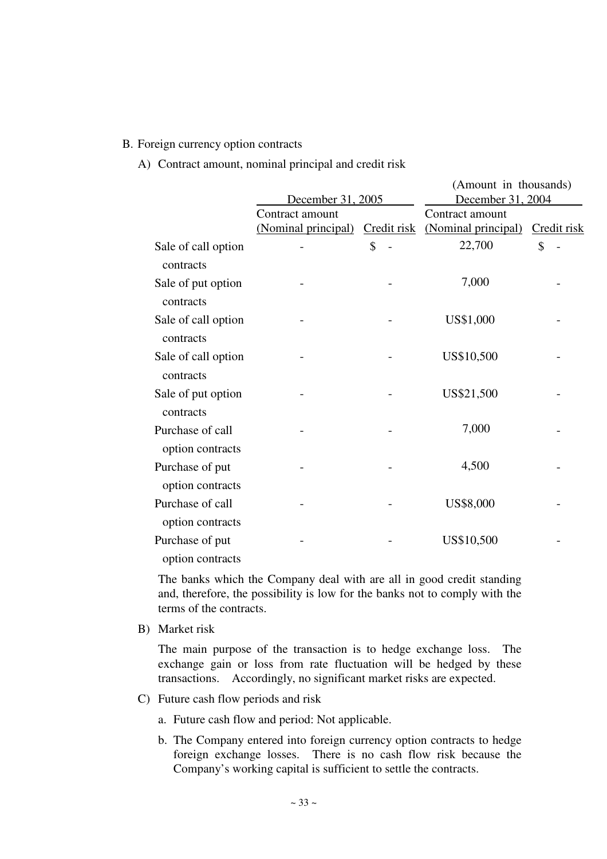### B. Foreign currency option contracts

A) Contract amount, nominal principal and credit risk

|                                      |                     |             | (Amount in thousands) |             |
|--------------------------------------|---------------------|-------------|-----------------------|-------------|
|                                      | December 31, 2005   |             | December 31, 2004     |             |
|                                      | Contract amount     |             | Contract amount       |             |
|                                      | (Nominal principal) | Credit risk | (Nominal principal)   | Credit risk |
| Sale of call option<br>contracts     |                     | \$          | 22,700                | \$          |
| Sale of put option<br>contracts      |                     |             | 7,000                 |             |
| Sale of call option<br>contracts     |                     |             | US\$1,000             |             |
| Sale of call option<br>contracts     |                     |             | US\$10,500            |             |
| Sale of put option<br>contracts      |                     |             | US\$21,500            |             |
| Purchase of call<br>option contracts |                     |             | 7,000                 |             |
| Purchase of put<br>option contracts  |                     |             | 4,500                 |             |
| Purchase of call<br>option contracts |                     |             | US\$8,000             |             |
| Purchase of put<br>option contracts  |                     |             | US\$10,500            |             |

The banks which the Company deal with are all in good credit standing and, therefore, the possibility is low for the banks not to comply with the terms of the contracts.

B) Market risk

The main purpose of the transaction is to hedge exchange loss. The exchange gain or loss from rate fluctuation will be hedged by these transactions. Accordingly, no significant market risks are expected.

- C) Future cash flow periods and risk
	- a. Future cash flow and period: Not applicable.
	- b. The Company entered into foreign currency option contracts to hedge foreign exchange losses. There is no cash flow risk because the Company's working capital is sufficient to settle the contracts.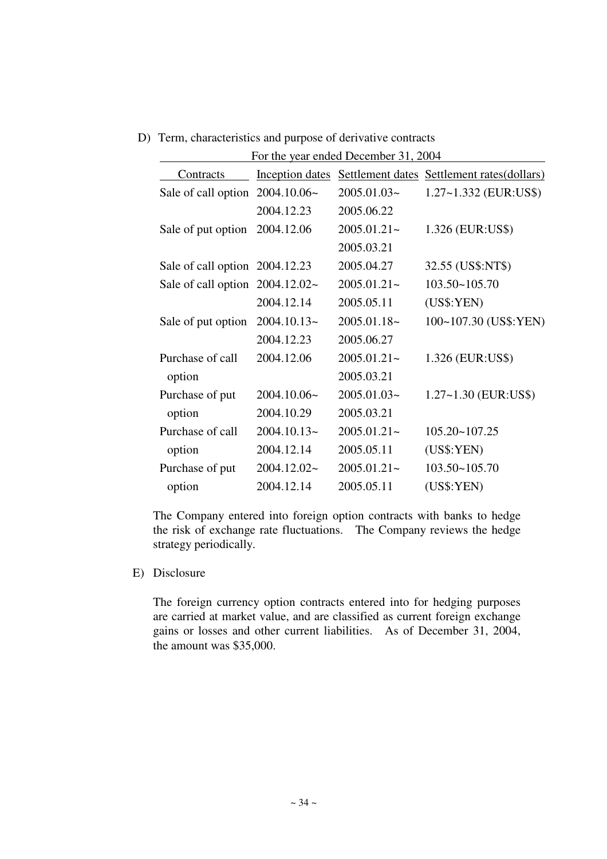D) Term, characteristics and purpose of derivative contracts

|                                    |               | For the year ended December 31, 2004 |                                                             |
|------------------------------------|---------------|--------------------------------------|-------------------------------------------------------------|
| Contracts                          |               |                                      | Inception dates Settlement dates Settlement rates (dollars) |
| Sale of call option $2004.10.06~$  |               | $2005.01.03-$                        | 1.27~1.332 (EUR:US\$)                                       |
|                                    | 2004.12.23    | 2005.06.22                           |                                                             |
| Sale of put option                 | 2004.12.06    | $2005.01.21 -$                       | 1.326 (EUR:US\$)                                            |
|                                    |               | 2005.03.21                           |                                                             |
| Sale of call option 2004.12.23     |               | 2005.04.27                           | 32.55 (US\$:NT\$)                                           |
| Sale of call option $2004.12.02$ ~ |               | $2005.01.21 -$                       | 103.50~105.70                                               |
|                                    | 2004.12.14    | 2005.05.11                           | (US\$:YEN)                                                  |
| Sale of put option                 | $2004.10.13-$ | $2005.01.18-$                        | 100~107.30 (US\$:YEN)                                       |
|                                    | 2004.12.23    | 2005.06.27                           |                                                             |
| Purchase of call                   | 2004.12.06    | $2005.01.21 -$                       | 1.326 (EUR:US\$)                                            |
| option                             |               | 2005.03.21                           |                                                             |
| Purchase of put                    | $2004.10.06-$ | $2005.01.03-$                        | $1.27 - 1.30$ (EUR:US\$)                                    |
| option                             | 2004.10.29    | 2005.03.21                           |                                                             |
| Purchase of call                   | $2004.10.13-$ | $2005.01.21 -$                       | $105.20 - 107.25$                                           |
| option                             | 2004.12.14    | 2005.05.11                           | (US\$:YEN)                                                  |
| Purchase of put                    | $2004.12.02-$ | $2005.01.21 -$                       | 103.50~105.70                                               |
| option                             | 2004.12.14    | 2005.05.11                           | (US\$:YEN)                                                  |

The Company entered into foreign option contracts with banks to hedge the risk of exchange rate fluctuations. The Company reviews the hedge strategy periodically.

E) Disclosure

The foreign currency option contracts entered into for hedging purposes are carried at market value, and are classified as current foreign exchange gains or losses and other current liabilities. As of December 31, 2004, the amount was \$35,000.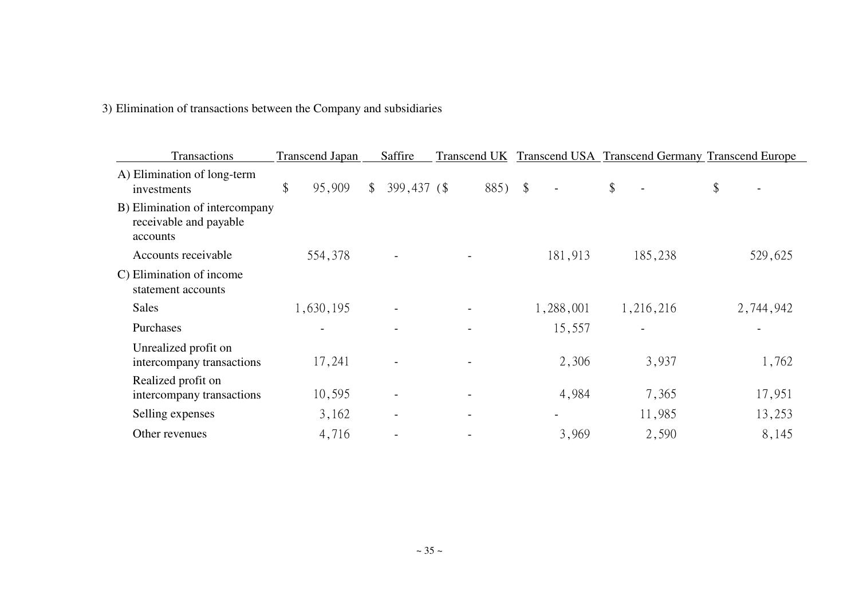| 3) Elimination of transactions between the Company and subsidiaries |
|---------------------------------------------------------------------|
|---------------------------------------------------------------------|

| Transactions                                                         | <b>Transcend Japan</b> |              | Saffire     |         |           | Transcend UK Transcend USA Transcend Germany Transcend Europe |                                |
|----------------------------------------------------------------------|------------------------|--------------|-------------|---------|-----------|---------------------------------------------------------------|--------------------------------|
| A) Elimination of long-term<br>investments                           | \$<br>95,909           | $\mathbb{S}$ | 399,437 (\$ | 885) \$ |           | \$                                                            | \$<br>$\overline{\phantom{a}}$ |
| B) Elimination of intercompany<br>receivable and payable<br>accounts |                        |              |             |         |           |                                                               |                                |
| Accounts receivable                                                  | 554,378                |              |             |         | 181,913   | 185,238                                                       | 529,625                        |
| C) Elimination of income<br>statement accounts                       |                        |              |             |         |           |                                                               |                                |
| <b>Sales</b>                                                         | 1,630,195              |              |             |         | 1,288,001 | 1,216,216                                                     | 2,744,942                      |
| Purchases                                                            |                        |              |             |         | 15,557    |                                                               |                                |
| Unrealized profit on<br>intercompany transactions                    | 17,241                 |              |             |         | 2,306     | 3,937                                                         | 1,762                          |
| Realized profit on<br>intercompany transactions                      | 10,595                 |              |             |         | 4,984     | 7,365                                                         | 17,951                         |
| Selling expenses                                                     | 3,162                  |              |             |         |           | 11,985                                                        | 13,253                         |
| Other revenues                                                       | 4,716                  |              |             |         | 3,969     | 2,590                                                         | 8,145                          |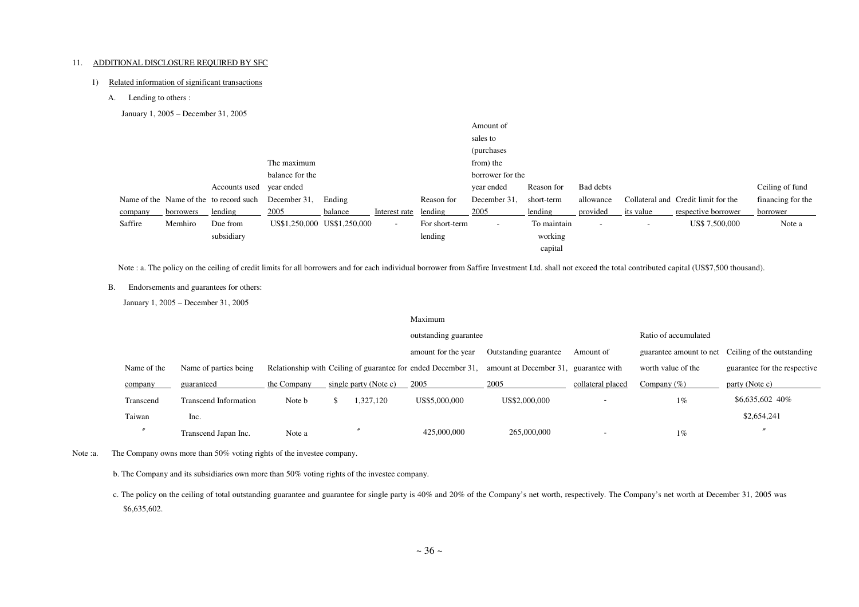#### 11. ADDITIONAL DISCLOSURE REQUIRED BY SFC

#### 1) Related information of significant transactions

A. Lending to others :

January 1, 2005 – December 31, 2005

|         |           |                                        |                 |                             |               |                | Amount of          |             |                          |           |                                     |                   |
|---------|-----------|----------------------------------------|-----------------|-----------------------------|---------------|----------------|--------------------|-------------|--------------------------|-----------|-------------------------------------|-------------------|
|         |           |                                        |                 |                             |               |                | sales to           |             |                          |           |                                     |                   |
|         |           |                                        |                 |                             |               |                | <i>(purchases)</i> |             |                          |           |                                     |                   |
|         |           |                                        | The maximum     |                             |               |                | from) the          |             |                          |           |                                     |                   |
|         |           |                                        | balance for the |                             |               |                | borrower for the   |             |                          |           |                                     |                   |
|         |           | Accounts used                          | year ended      |                             |               |                | year ended         | Reason for  | Bad debts                |           |                                     | Ceiling of fund   |
|         |           | Name of the Name of the to record such | December 31,    | Ending                      |               | Reason for     | December 31.       | short-term  | allowance                |           | Collateral and Credit limit for the | financing for the |
| company | borrowers | lending                                | 2005            | balance                     | Interest rate | lending        | 2005               | lending     | provided                 | its value | respective borrower                 | borrower          |
| Saffire | Memhiro   | Due from                               |                 | US\$1,250,000 US\$1,250,000 | $\sim$        | For short-term | $\sim$             | To maintain | $\overline{\phantom{a}}$ | -         | US\$ 7,500,000                      | Note a            |
|         |           | subsidiary                             |                 |                             |               | lending        |                    | working     |                          |           |                                     |                   |
|         |           |                                        |                 |                             |               |                |                    | capital     |                          |           |                                     |                   |

Note : a. The policy on the ceiling of credit limits for all borrowers and for each individual borrower from Saffire Investment Ltd. shall not exceed the total contributed capital (US\$7,500 thousand).

B. Endorsements and guarantees for others:

January 1, 2005 – December 31, 2005

|             |                              |             |                       | Maximum                                                       |                                       |                          |                            |                              |
|-------------|------------------------------|-------------|-----------------------|---------------------------------------------------------------|---------------------------------------|--------------------------|----------------------------|------------------------------|
|             |                              |             |                       | outstanding guarantee                                         |                                       |                          | Ratio of accumulated       |                              |
|             |                              |             |                       | amount for the year                                           | Outstanding guarantee                 | guarantee amount to net  | Ceiling of the outstanding |                              |
| Name of the | Name of parties being        |             |                       | Relationship with Ceiling of guarantee for ended December 31, | amount at December 31, guarantee with |                          | worth value of the         | guarantee for the respective |
| company     | guaranteed                   | the Company | single party (Note c) | 2005                                                          | 2005                                  | collateral placed        | Company $(\% )$            | party (Note c)               |
| Transcend   | <b>Transcend Information</b> | Note b      | 1,327,120             | US\$5,000,000                                                 | US\$2,000,000                         | $\overline{\phantom{a}}$ | $1\%$                      | \$6,635,602 40%              |
| Taiwan      | Inc.                         |             |                       |                                                               |                                       |                          |                            | \$2,654,241                  |
|             | Transcend Japan Inc.         | Note a      |                       | 425,000,000                                                   | 265,000,000                           |                          | $1\%$                      |                              |

Note : a. The Company owns more than 50% voting rights of the investee company.

b. The Company and its subsidiaries own more than 50% voting rights of the investee company.

c. The policy on the ceiling of total outstanding guarantee and guarantee for single party is 40% and 20% of the Company's net worth, respectively. The Company's net worth at December 31, 2005 was \$6,635,602.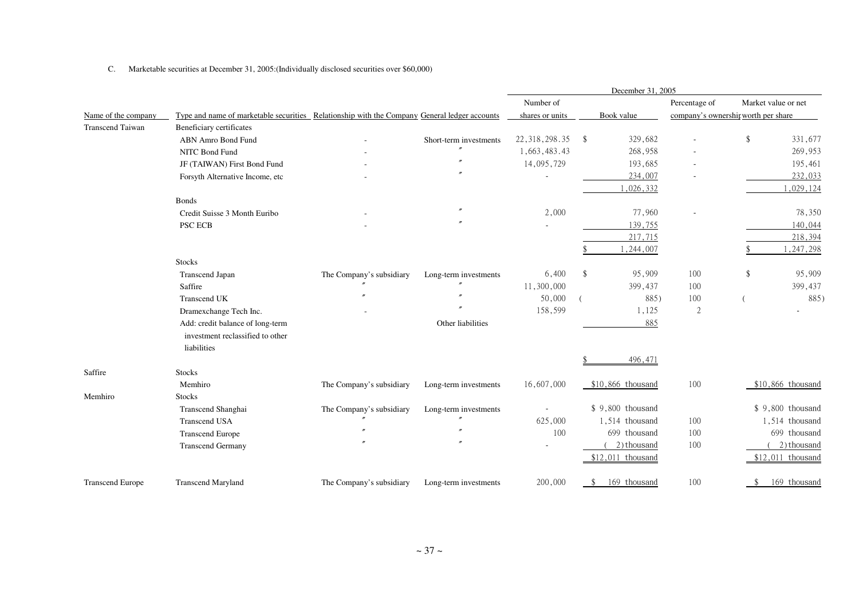C. Marketable securities at December 31, 2005:(Individually disclosed securities over \$60,000)

|                         |                                                                                              |                          |                        | December 31, 2005 |               |                    |                                     |    |                     |
|-------------------------|----------------------------------------------------------------------------------------------|--------------------------|------------------------|-------------------|---------------|--------------------|-------------------------------------|----|---------------------|
|                         |                                                                                              |                          |                        | Number of         |               |                    | Percentage of                       |    | Market value or net |
| Name of the company     | Type and name of marketable securities Relationship with the Company General ledger accounts |                          |                        | shares or units   |               | Book value         | company's ownership worth per share |    |                     |
| <b>Transcend Taiwan</b> | Beneficiary certificates                                                                     |                          |                        |                   |               |                    |                                     |    |                     |
|                         | ABN Amro Bond Fund                                                                           |                          | Short-term investments | 22, 318, 298.35   | -S            | 329,682            |                                     | \$ | 331,677             |
|                         | NITC Bond Fund                                                                               |                          | $^{\prime\prime}$      | 1,663,483.43      |               | 268,958            |                                     |    | 269,953             |
|                         | JF (TAIWAN) First Bond Fund                                                                  |                          |                        | 14,095,729        |               | 193,685            |                                     |    | 195,461             |
|                         | Forsyth Alternative Income, etc                                                              |                          |                        |                   |               | 234,007            |                                     |    | 232,033             |
|                         |                                                                                              |                          |                        |                   |               | 1,026,332          |                                     |    | 1,029,124           |
|                         | <b>Bonds</b>                                                                                 |                          |                        |                   |               |                    |                                     |    |                     |
|                         | Credit Suisse 3 Month Euribo                                                                 |                          |                        | 2,000             |               | 77,960             |                                     |    | 78,350              |
|                         | PSC ECB                                                                                      |                          |                        |                   |               | 139,755            |                                     |    | 140,044             |
|                         |                                                                                              |                          |                        |                   |               | 217,715            |                                     |    | 218,394             |
|                         |                                                                                              |                          |                        |                   |               | 1,244,007          |                                     |    | 1,247,298           |
|                         | <b>Stocks</b>                                                                                |                          |                        |                   |               |                    |                                     |    |                     |
|                         | Transcend Japan                                                                              | The Company's subsidiary | Long-term investments  | 6,400             | <sup>\$</sup> | 95,909             | 100                                 | \$ | 95,909              |
|                         | Saffire                                                                                      |                          |                        | 11,300,000        |               | 399,437            | 100                                 |    | 399,437             |
|                         | <b>Transcend UK</b>                                                                          |                          |                        | 50,000            |               | 885)               | 100                                 |    | 885)                |
|                         | Dramexchange Tech Inc.                                                                       |                          |                        | 158,599           |               | 1,125              | $\sqrt{2}$                          |    |                     |
|                         | Add: credit balance of long-term                                                             |                          | Other liabilities      |                   |               | 885                |                                     |    |                     |
|                         | investment reclassified to other                                                             |                          |                        |                   |               |                    |                                     |    |                     |
|                         | liabilities                                                                                  |                          |                        |                   |               |                    |                                     |    |                     |
|                         |                                                                                              |                          |                        |                   |               | 496,471            |                                     |    |                     |
| Saffire                 | <b>Stocks</b>                                                                                |                          |                        |                   |               |                    |                                     |    |                     |
|                         | Memhiro                                                                                      | The Company's subsidiary | Long-term investments  | 16,607,000        |               | $$10,866$ thousand | 100                                 |    | $$10,866$ thousand  |
| Memhiro                 | <b>Stocks</b>                                                                                |                          |                        |                   |               |                    |                                     |    |                     |
|                         | Transcend Shanghai                                                                           | The Company's subsidiary | Long-term investments  |                   |               | $$9,800$ thousand  |                                     |    | $$9,800$ thousand   |
|                         | <b>Transcend USA</b>                                                                         |                          |                        | 625,000           |               | 1,514 thousand     | 100                                 |    | 1,514 thousand      |
|                         | <b>Transcend Europe</b>                                                                      |                          |                        | 100               |               | 699 thousand       | 100                                 |    | 699 thousand        |
|                         | <b>Transcend Germany</b>                                                                     |                          |                        |                   |               | 2) thousand        | 100                                 |    | 2) thousand         |
|                         |                                                                                              |                          |                        |                   |               | $$12,011$ thousand |                                     |    | $$12,011$ thousand  |
| <b>Transcend Europe</b> | <b>Transcend Maryland</b>                                                                    | The Company's subsidiary | Long-term investments  | 200,000           | \$.           | 169 thousand       | 100                                 |    | 169 thousand        |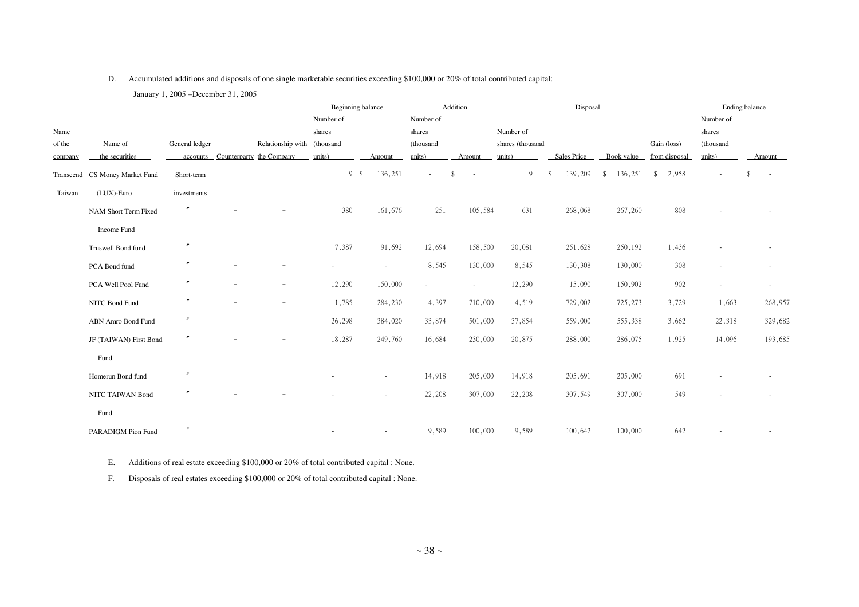### D. Accumulated additions and disposals of one single marketable securities exceeding \$100,000 or 20% of total contributed capital:

January 1, 2005 –December 31, 2005

|         |                                |                |                                   | Beginning balance        |         |                          | Addition                       | Disposal         |               |               |               |                          | Ending balance           |
|---------|--------------------------------|----------------|-----------------------------------|--------------------------|---------|--------------------------|--------------------------------|------------------|---------------|---------------|---------------|--------------------------|--------------------------|
|         |                                |                |                                   | Number of                |         | Number of                |                                |                  |               |               |               | Number of                |                          |
| Name    |                                |                |                                   | shares                   |         | shares                   |                                | Number of        |               |               |               | shares                   |                          |
| of the  | Name of                        | General ledger | Relationship with (thousand       |                          |         | (thousand                |                                | shares (thousand |               |               | Gain (loss)   | (thousand                |                          |
| company | the securities                 |                | accounts Counterparty the Company | units)                   | Amount  | units)                   | Amount                         | units)           | Sales Price   | Book value    | from disposal | units)                   | Amount                   |
|         | Transcend CS Money Market Fund | Short-term     |                                   | 9S                       | 136,251 | $\sim$                   | \$<br>$\overline{\phantom{a}}$ | 9                | 139,209<br>-S | 136,251<br>\$ | 2,958<br>\$   |                          | $\sim$                   |
| Taiwan  | $(LUX)$ -Euro                  | investments    |                                   |                          |         |                          |                                |                  |               |               |               |                          |                          |
|         | NAM Short Term Fixed           |                |                                   | 380                      | 161,676 | 251                      | 105,584                        | 631              | 268,068       | 267,260       | $808\,$       |                          |                          |
|         | Income Fund                    |                |                                   |                          |         |                          |                                |                  |               |               |               |                          |                          |
|         | Truswell Bond fund             |                |                                   | 7,387                    | 91,692  | 12,694                   | 158,500                        | 20,081           | 251,628       | 250,192       | 1,436         |                          |                          |
|         | PCA Bond fund                  |                |                                   | $\overline{\phantom{a}}$ | $\sim$  | 8,545                    | 130,000                        | 8,545            | 130,308       | 130,000       | 308           |                          | $\overline{\phantom{a}}$ |
|         | PCA Well Pool Fund             |                |                                   | 12,290                   | 150,000 | $\overline{\phantom{a}}$ | $\overline{\phantom{a}}$       | 12,290           | 15,090        | 150,902       | 902           |                          | $\sim$                   |
|         | NITC Bond Fund                 |                |                                   | 1,785                    | 284,230 | 4,397                    | 710,000                        | 4,519            | 729,002       | 725,273       | 3,729         | 1,663                    | 268,957                  |
|         | ABN Amro Bond Fund             |                | $\overline{\phantom{a}}$          | 26,298                   | 384,020 | 33,874                   | 501,000                        | 37,854           | 559,000       | 555,338       | 3,662         | 22,318                   | 329,682                  |
|         | JF (TAIWAN) First Bond         | $\prime\prime$ | $\overline{\phantom{a}}$          | 18,287                   | 249,760 | 16,684                   | 230,000                        | 20,875           | 288,000       | 286,075       | 1,925         | 14,096                   | 193,685                  |
|         | Fund                           |                |                                   |                          |         |                          |                                |                  |               |               |               |                          |                          |
|         | Homerun Bond fund              |                |                                   |                          | $\sim$  | 14,918                   | 205,000                        | 14,918           | 205,691       | 205,000       | 691           | $\overline{\phantom{a}}$ | $\overline{\phantom{a}}$ |
|         | NITC TAIWAN Bond               |                |                                   |                          |         | 22,208                   | 307,000                        | 22,208           | 307,549       | 307,000       | 549           |                          |                          |
|         | Fund                           |                |                                   |                          |         |                          |                                |                  |               |               |               |                          |                          |
|         | PARADIGM Pion Fund             |                |                                   |                          |         | 9,589                    | 100,000                        | 9,589            | 100,642       | 100,000       | 642           |                          |                          |

E. Additions of real estate exceeding \$100,000 or 20% of total contributed capital : None.

F. Disposals of real estates exceeding \$100,000 or 20% of total contributed capital : None.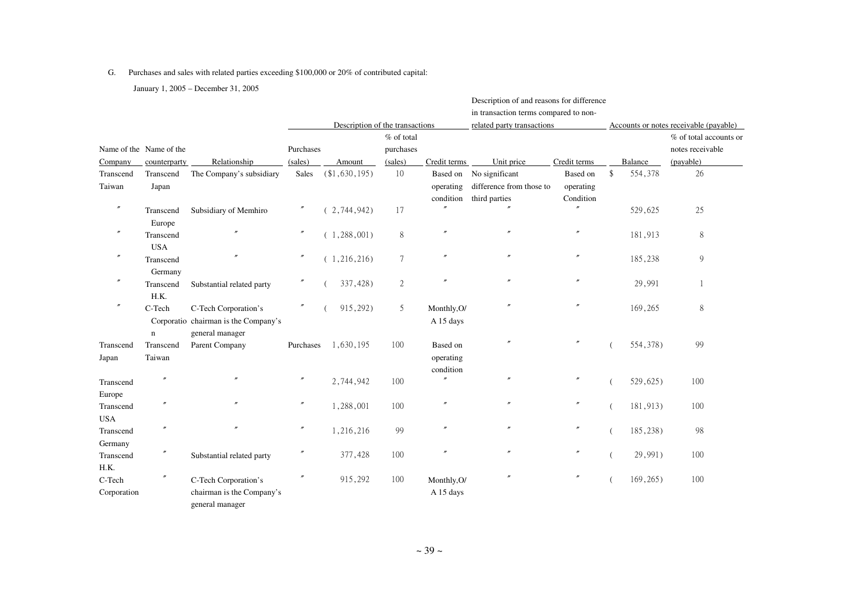#### G. Purchases and sales with related parties exceeding \$100,000 or 20% of contributed capital:

January 1, 2005 – December 31, 2005

|                         |                                         |                                                                                 |                      | Description of the transactions |                                    |                                    | Description of and reasons for difference<br>in transaction terms compared to non-<br>related party transactions |                                    | Accounts or notes receivable (payable) |                                                         |  |  |
|-------------------------|-----------------------------------------|---------------------------------------------------------------------------------|----------------------|---------------------------------|------------------------------------|------------------------------------|------------------------------------------------------------------------------------------------------------------|------------------------------------|----------------------------------------|---------------------------------------------------------|--|--|
| Company                 | Name of the Name of the<br>counterparty | Relationship                                                                    | Purchases<br>(sales) | Amount                          | % of total<br>purchases<br>(sales) | Credit terms                       | Unit price                                                                                                       | Credit terms                       | Balance                                | % of total accounts or<br>notes receivable<br>(payable) |  |  |
| Transcend<br>Taiwan     | Transcend<br>Japan                      | The Company's subsidiary                                                        | <b>Sales</b>         | $(*1,630,195)$                  | 10                                 | Based on<br>operating<br>condition | No significant<br>difference from those to<br>third parties                                                      | Based on<br>operating<br>Condition | \$<br>554,378                          | 26                                                      |  |  |
| $^{\prime\prime}$       | Transcend<br>Europe                     | Subsidiary of Memhiro                                                           | $^{\prime\prime}$    | (2, 744, 942)                   | 17                                 |                                    |                                                                                                                  |                                    | 529,625                                | 25                                                      |  |  |
| $\prime\prime$          | Transcend<br><b>USA</b>                 |                                                                                 | $\prime\prime$       | (1, 288, 001)                   | $\,8\,$                            | $^{\prime\prime}$                  |                                                                                                                  |                                    | 181,913                                | 8                                                       |  |  |
| $^{\prime\prime}$       | Transcend<br>Germany                    |                                                                                 | $\prime\prime$       | (1, 216, 216)                   | $7\phantom{.0}$                    | $^{\prime\prime}$                  |                                                                                                                  | $^{\prime\prime}$                  | 185,238                                | $\overline{9}$                                          |  |  |
| $^{\prime\prime}$       | Transcend<br>H.K.                       | Substantial related party                                                       |                      | 337,428)                        | $\overline{2}$                     |                                    |                                                                                                                  | $^{\prime\prime}$                  | 29,991                                 | 1                                                       |  |  |
| $\prime\prime$          | C-Tech<br>$\mathbf n$                   | C-Tech Corporation's<br>Corporatio chairman is the Company's<br>general manager |                      | 915,292)                        | 5                                  | Monthly, O/<br>A 15 days           |                                                                                                                  |                                    | 169,265                                | $\,8\,$                                                 |  |  |
| Transcend<br>Japan      | Transcend<br>Taiwan                     | Parent Company                                                                  | Purchases            | 1,630,195                       | 100                                | Based on<br>operating<br>condition |                                                                                                                  | $\prime\prime$                     | 554,378)                               | 99                                                      |  |  |
| Transcend<br>Europe     |                                         |                                                                                 | $\prime\prime$       | 2,744,942                       | 100                                |                                    | $\overline{''}$                                                                                                  |                                    | 529,625)                               | 100                                                     |  |  |
| Transcend<br><b>USA</b> |                                         |                                                                                 | $\prime\prime$       | 1,288,001                       | 100                                | $^{\prime\prime}$                  |                                                                                                                  | $^{\prime\prime}$                  | 181,913)                               | 100                                                     |  |  |
| Transcend<br>Germany    | $\theta$                                |                                                                                 | $\prime\prime$       | 1,216,216                       | 99                                 |                                    |                                                                                                                  | $\prime$                           | 185,238)                               | 98                                                      |  |  |
| Transcend<br>H.K.       | $\prime\prime$                          | Substantial related party                                                       | $\prime$             | 377,428                         | 100                                | $^{\prime\prime}$                  |                                                                                                                  | $^{\prime\prime}$                  | 29,991)                                | 100                                                     |  |  |
| C-Tech<br>Corporation   | $^{\prime\prime}$                       | C-Tech Corporation's<br>chairman is the Company's<br>general manager            | $\prime\prime$       | 915,292                         | 100                                | Monthly, O/<br>A 15 days           |                                                                                                                  | $\prime\prime$                     | 169, 265)                              | 100                                                     |  |  |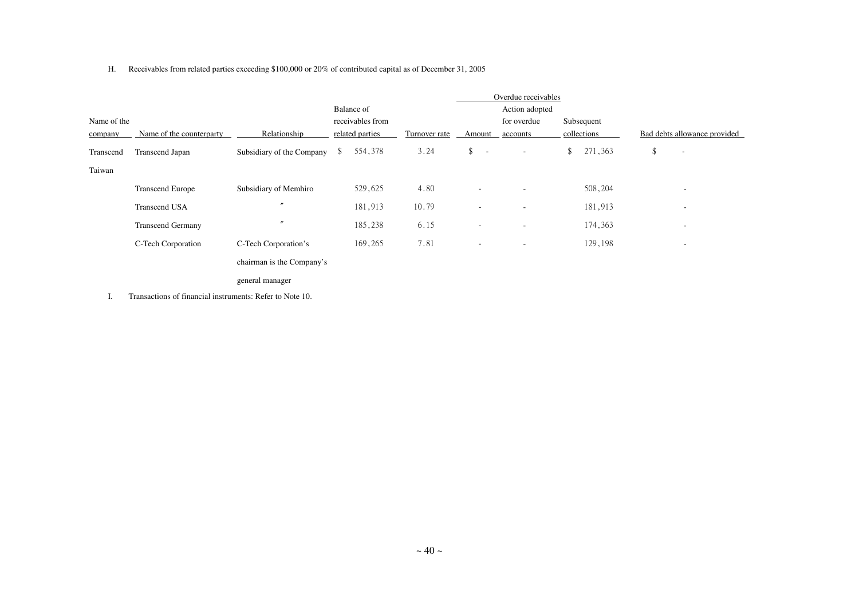#### H. Receivables from related parties exceeding \$100,000 or 20% of contributed capital as of December 31, 2005

|             |                          | Overdue receivables       |                  |               |                          |                          |               |                                |
|-------------|--------------------------|---------------------------|------------------|---------------|--------------------------|--------------------------|---------------|--------------------------------|
|             |                          |                           | Balance of       |               |                          | Action adopted           |               |                                |
| Name of the |                          |                           | receivables from |               |                          | for overdue              | Subsequent    |                                |
| company     | Name of the counterparty | Relationship              | related parties  | Turnover rate | Amount                   | accounts                 | collections   | Bad debts allowance provided   |
| Transcend   | Transcend Japan          | Subsidiary of the Company | 554,378<br>\$    | 3.24          | \$<br><b>.</b>           | $\overline{\phantom{a}}$ | 271,363<br>\$ | \$<br>$\overline{\phantom{a}}$ |
| Taiwan      |                          |                           |                  |               |                          |                          |               |                                |
|             | <b>Transcend Europe</b>  | Subsidiary of Memhiro     | 529,625          | 4.80          | $\sim$                   | $\overline{\phantom{a}}$ | 508,204       | $\overline{\phantom{a}}$       |
|             | <b>Transcend USA</b>     | $\prime$                  | 181,913          | 10.79         | $\overline{\phantom{a}}$ | $\overline{\phantom{a}}$ | 181,913       | $\overline{\phantom{a}}$       |
|             | <b>Transcend Germany</b> |                           | 185,238          | 6.15          | $\overline{\phantom{a}}$ | $\overline{\phantom{a}}$ | 174,363       | $\overline{\phantom{a}}$       |
|             | C-Tech Corporation       | C-Tech Corporation's      | 169,265          | 7.81          | $\sim$                   | $\overline{\phantom{a}}$ | 129,198       | $\overline{\phantom{a}}$       |
|             |                          | chairman is the Company's |                  |               |                          |                          |               |                                |
|             |                          | general manager           |                  |               |                          |                          |               |                                |

I. Transactions of financial instruments: Refer to Note 10.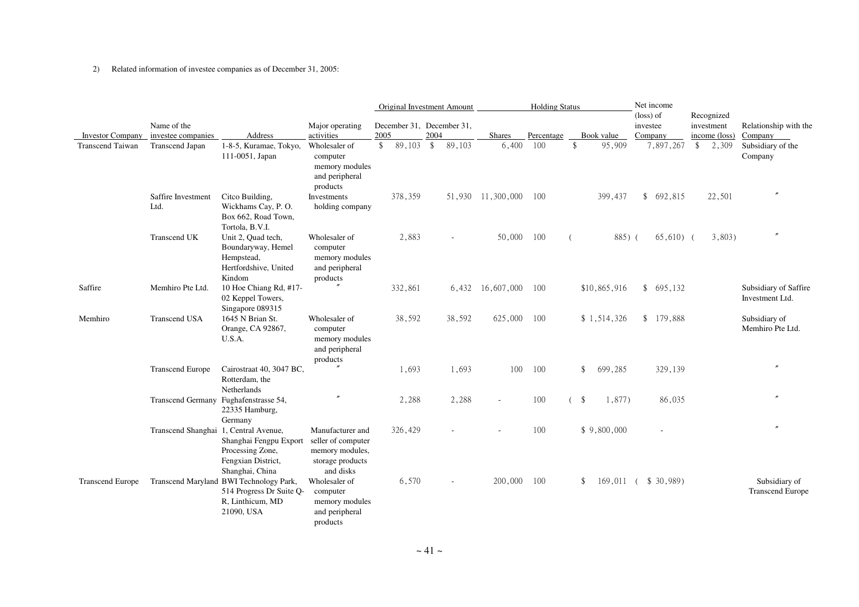#### 2) Related information of investee companies as of December 31, 2005:

|                         |                                       |                                                                                                       |                                                                                            | Original Investment Amount        |      | <b>Holding Status</b> |                   |            |                | Net income      |  |                          |                                           |                                          |
|-------------------------|---------------------------------------|-------------------------------------------------------------------------------------------------------|--------------------------------------------------------------------------------------------|-----------------------------------|------|-----------------------|-------------------|------------|----------------|-----------------|--|--------------------------|-------------------------------------------|------------------------------------------|
| <b>Investor Company</b> | Name of the<br>investee companies     | Address                                                                                               | Major operating<br>activities                                                              | December 31, December 31,<br>2005 | 2004 |                       | <b>Shares</b>     | Percentage |                | Book value      |  | (loss) of<br>investee    | Recognized<br>investment<br>income (loss) | Relationship with the                    |
| Transcend Taiwan        | Transcend Japan                       | 1-8-5, Kuramae, Tokyo,                                                                                | Wholesaler of                                                                              | 89,103<br>\$                      | \$   | 89,103                | 6,400             | 100        | \$             | 95,909          |  | Company<br>7,897,267     | $\frac{1}{2}$ , 309                       | Company<br>Subsidiary of the             |
|                         |                                       | 111-0051, Japan                                                                                       | computer<br>memory modules<br>and peripheral<br>products                                   |                                   |      |                       |                   |            |                |                 |  |                          |                                           | Company                                  |
|                         | Saffire Investment<br>Ltd.            | Citco Building,<br>Wickhams Cay, P.O.<br>Box 662, Road Town,<br>Tortola, B.V.I.                       | Investments<br>holding company                                                             | 378,359                           |      |                       | 51,930 11,300,000 | 100        |                | 399,437         |  | \$692,815                | 22,501                                    |                                          |
|                         | Transcend UK                          | Unit 2, Quad tech,<br>Boundaryway, Hemel<br>Hempstead,<br>Hertfordshive, United<br>Kindom             | Wholesaler of<br>computer<br>memory modules<br>and peripheral<br>products                  | 2,883                             |      |                       | 50,000            | 100        | $\overline{ }$ | 885) (          |  | $65,610$ (               | 3,803)                                    |                                          |
| Saffire                 | Memhiro Pte Ltd.                      | 10 Hoe Chiang Rd, #17-<br>02 Keppel Towers,<br>Singapore 089315                                       |                                                                                            | 332,861                           |      | 6,432                 | 16,607,000        | 100        |                | \$10,865,916    |  | \$695,132                |                                           | Subsidiary of Saffire<br>Investment Ltd. |
| Memhiro                 | <b>Transcend USA</b>                  | 1645 N Brian St.<br>Orange, CA 92867,<br>U.S.A.                                                       | Wholesaler of<br>computer<br>memory modules<br>and peripheral<br>products                  | 38,592                            |      | 38,592                | 625,000           | 100        |                | \$1,514,326     |  | \$179,888                |                                           | Subsidiary of<br>Memhiro Pte Ltd.        |
|                         | <b>Transcend Europe</b>               | Cairostraat 40, 3047 BC,<br>Rotterdam, the<br>Netherlands                                             |                                                                                            | 1,693                             |      | 1,693                 | 100               | 100        |                | \$<br>699,285   |  | 329,139                  |                                           |                                          |
|                         | Transcend Germany Fughafenstrasse 54, | 22335 Hamburg,<br>Germany                                                                             |                                                                                            | 2,288                             |      | 2,288                 |                   | 100        | $\left($       | \$<br>1,877)    |  | 86,035                   |                                           |                                          |
|                         | Transcend Shanghai 1, Central Avenue, | Shanghai Fengpu Export<br>Processing Zone,<br>Fengxian District,<br>Shanghai, China                   | Manufacturer and<br>seller of computer<br>memory modules,<br>storage products<br>and disks | 326,429                           |      |                       |                   | 100        |                | \$9,800,000     |  | $\overline{\phantom{a}}$ |                                           |                                          |
| <b>Transcend Europe</b> |                                       | Transcend Maryland BWI Technology Park,<br>514 Progress Dr Suite Q-<br>R, Linthicum, MD<br>21090, USA | Wholesaler of<br>computer<br>memory modules<br>and peripheral<br>products                  | 6,570                             |      |                       | 200,000           | 100        |                | \$<br>169,011 ( |  | \$30,989                 |                                           | Subsidiary of<br><b>Transcend Europe</b> |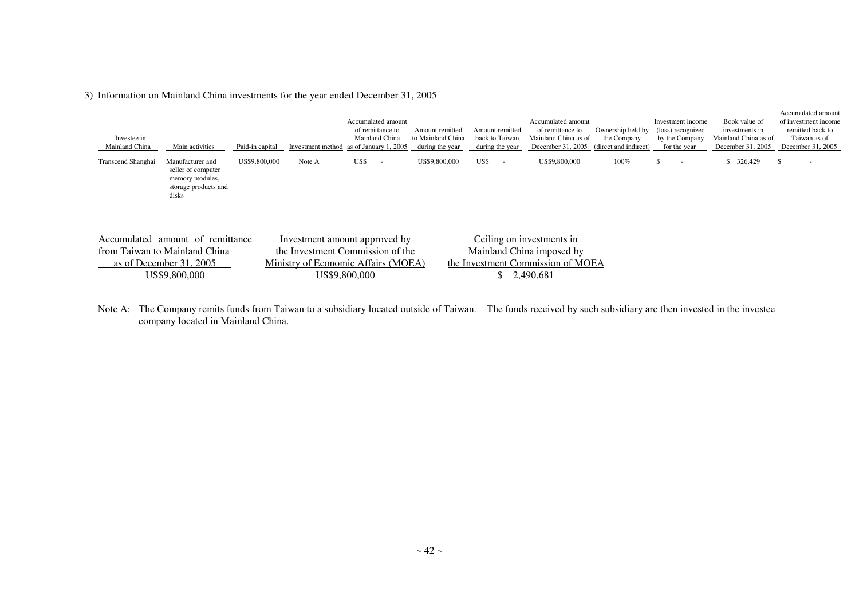| 3) Information on Mainland China investments for the year ended December 31, 2005 |
|-----------------------------------------------------------------------------------|
|-----------------------------------------------------------------------------------|

| Investee in<br>Mainland China | Main activities                                                                                   | Paid-in capital | Investment method                                                                                        |               | Accumulated amount<br>of remittance to<br>Mainland China<br>as of January 1, 2005 | Amount remitted<br>to Mainland China<br>during the year | Amount remitted<br>back to Taiwan<br>during the year | Accumulated amount<br>of remittance to<br>Mainland China as of<br>December 31, 2005                      | Ownership held by<br>the Company<br>(direct and indirect) | Investment income<br>(loss) recognized<br>by the Company<br>for the year | Book value of<br>investments in<br>Mainland China as of<br>December 31, 2005 | Accumulated amount<br>of investment income<br>remitted back to<br>Taiwan as of<br>December 31, 2005 |
|-------------------------------|---------------------------------------------------------------------------------------------------|-----------------|----------------------------------------------------------------------------------------------------------|---------------|-----------------------------------------------------------------------------------|---------------------------------------------------------|------------------------------------------------------|----------------------------------------------------------------------------------------------------------|-----------------------------------------------------------|--------------------------------------------------------------------------|------------------------------------------------------------------------------|-----------------------------------------------------------------------------------------------------|
| Transcend Shanghai            | Manufacturer and<br>seller of computer<br>memory modules,<br>storage products and<br>disks        | US\$9,800,000   | Note A                                                                                                   | US\$          | $\sim$                                                                            | US\$9,800,000                                           | US\$<br>$\overline{\phantom{a}}$                     | US\$9,800,000                                                                                            | 100%                                                      | S.<br>. .                                                                | 326,429<br>S.                                                                | \$<br>$\overline{\phantom{a}}$                                                                      |
| Accumulated                   | amount of remittance<br>from Taiwan to Mainland China<br>as of December 31, 2005<br>US\$9,800,000 |                 | Investment amount approved by<br>the Investment Commission of the<br>Ministry of Economic Affairs (MOEA) | US\$9.800.000 |                                                                                   |                                                         |                                                      | Ceiling on investments in<br>Mainland China imposed by<br>the Investment Commission of MOEA<br>2,490,681 |                                                           |                                                                          |                                                                              |                                                                                                     |

Note A: The Company remits funds from Taiwan to a subsidiary located outside of Taiwan. The funds received by such subsidiary are then invested in the investee company located in Mainland China.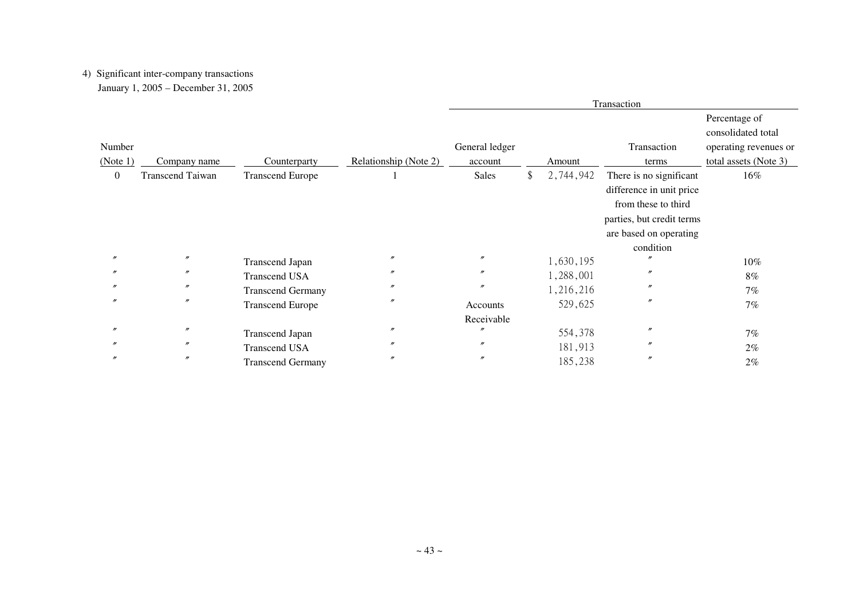# 4) Significant inter-company transactions

January 1, 2005 – December 31, 2005

|                   |                         |                          |                       | Transaction       |  |           |                                                                                                                                   |                                                              |  |
|-------------------|-------------------------|--------------------------|-----------------------|-------------------|--|-----------|-----------------------------------------------------------------------------------------------------------------------------------|--------------------------------------------------------------|--|
| Number            |                         |                          |                       | General ledger    |  |           | Transaction                                                                                                                       | Percentage of<br>consolidated total<br>operating revenues or |  |
|                   |                         |                          |                       |                   |  |           |                                                                                                                                   |                                                              |  |
| (Note 1)          | Company name            | Counterparty             | Relationship (Note 2) | account           |  | Amount    | terms                                                                                                                             | total assets (Note 3)                                        |  |
| $\overline{0}$    | <b>Transcend Taiwan</b> | <b>Transcend Europe</b>  |                       | Sales             |  | 2,744,942 | There is no significant<br>difference in unit price<br>from these to third<br>parties, but credit terms<br>are based on operating | 16%                                                          |  |
|                   |                         |                          |                       |                   |  |           | condition                                                                                                                         |                                                              |  |
| $\boldsymbol{''}$ | $^{\prime\prime}$       | <b>Transcend Japan</b>   | $^{\prime\prime}$     | $^{\prime\prime}$ |  | 1,630,195 |                                                                                                                                   | 10%                                                          |  |
|                   | $^{\prime\prime}$       | <b>Transcend USA</b>     | $^{\prime\prime}$     | $^{\prime\prime}$ |  | 1,288,001 | $\prime$                                                                                                                          | $8\%$                                                        |  |
|                   | $^{\prime\prime}$       | <b>Transcend Germany</b> | $^{\prime\prime}$     | $^{\prime\prime}$ |  | 1,216,216 | $^{\prime\prime}$                                                                                                                 | 7%                                                           |  |
| $^{\prime\prime}$ | $\prime\prime$          | <b>Transcend Europe</b>  | $^{\prime\prime}$     | Accounts          |  | 529,625   | $^{\prime\prime}$                                                                                                                 | 7%                                                           |  |
|                   |                         |                          |                       | Receivable        |  |           |                                                                                                                                   |                                                              |  |
| $^{\prime\prime}$ | $^{\prime\prime}$       | <b>Transcend Japan</b>   | $^{\prime\prime}$     | n                 |  | 554,378   | $^{\prime\prime}$                                                                                                                 | 7%                                                           |  |
|                   | $^{\prime\prime}$       | <b>Transcend USA</b>     | $^{\prime\prime}$     | $^{\prime\prime}$ |  | 181,913   | $\prime$                                                                                                                          | $2\%$                                                        |  |
|                   | $\prime\prime$          | <b>Transcend Germany</b> | $^{\prime\prime}$     | $^{\prime\prime}$ |  | 185,238   | $^{\prime\prime}$                                                                                                                 | 2%                                                           |  |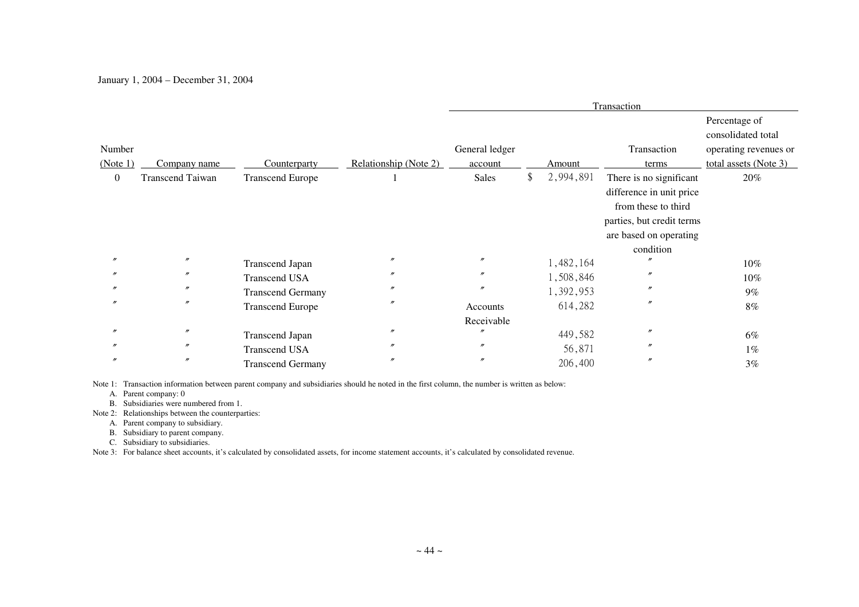### January 1, 2004 – December 31, 2004

|                |                         |                          |                       | Transaction                  |     |           |                                                                                                                                                |                                     |  |
|----------------|-------------------------|--------------------------|-----------------------|------------------------------|-----|-----------|------------------------------------------------------------------------------------------------------------------------------------------------|-------------------------------------|--|
|                |                         |                          |                       |                              |     |           |                                                                                                                                                | Percentage of<br>consolidated total |  |
| Number         |                         |                          |                       | General ledger               |     |           | Transaction                                                                                                                                    | operating revenues or               |  |
| (Note 1)       | Company name            | Counterparty             | Relationship (Note 2) | account                      |     | Amount    | terms                                                                                                                                          | total assets (Note 3)               |  |
| $\overline{0}$ | <b>Transcend Taiwan</b> | <b>Transcend Europe</b>  |                       | <b>Sales</b>                 | \$. | 2,994,891 | There is no significant<br>difference in unit price<br>from these to third<br>parties, but credit terms<br>are based on operating<br>condition | 20%                                 |  |
|                | $\prime\prime$          | <b>Transcend Japan</b>   | $^{\prime\prime}$     | $^{\prime\prime}$            |     | 1,482,164 |                                                                                                                                                | 10%                                 |  |
|                | $\prime\prime$          | <b>Transcend USA</b>     | $^{\prime\prime}$     | $^{\prime\prime}$            |     | 1,508,846 | $\prime$                                                                                                                                       | 10%                                 |  |
|                | $^{\prime\prime}$       | <b>Transcend Germany</b> | $^{\prime\prime}$     | $\prime\prime$               |     | 1,392,953 | $^{\prime\prime}$                                                                                                                              | $9\%$                               |  |
|                | $\prime\prime$          | <b>Transcend Europe</b>  | $^{\prime\prime}$     | Accounts                     |     | 614,282   | $^{\prime\prime}$                                                                                                                              | $8\%$                               |  |
|                | $^{\prime\prime}$       |                          | $^{\prime\prime}$     | Receivable<br>$\prime\prime$ |     |           | $^{\prime\prime}$                                                                                                                              |                                     |  |
|                |                         | <b>Transcend Japan</b>   |                       |                              |     | 449,582   |                                                                                                                                                | 6%                                  |  |
|                | $^{\prime\prime}$       | <b>Transcend USA</b>     | $^{\prime\prime}$     | $\prime\prime$               |     | 56,871    | $^{\prime\prime}$                                                                                                                              | $1\%$                               |  |
|                | $^{\prime\prime}$       | <b>Transcend Germany</b> | $^{\prime\prime}$     | $\prime\prime$               |     | 206,400   | $^{\prime\prime}$                                                                                                                              | 3%                                  |  |

Note 1: Transaction information between parent company and subsidiaries should he noted in the first column, the number is written as below:

A. Parent company: 0

B. Subsidiaries were numbered from 1.

Note 2: Relationships between the counterparties:

A. Parent company to subsidiary.

B. Subsidiary to parent company.

C. Subsidiary to subsidiaries.

Note 3: For balance sheet accounts, it's calculated by consolidated assets, for income statement accounts, it's calculated by consolidated revenue.